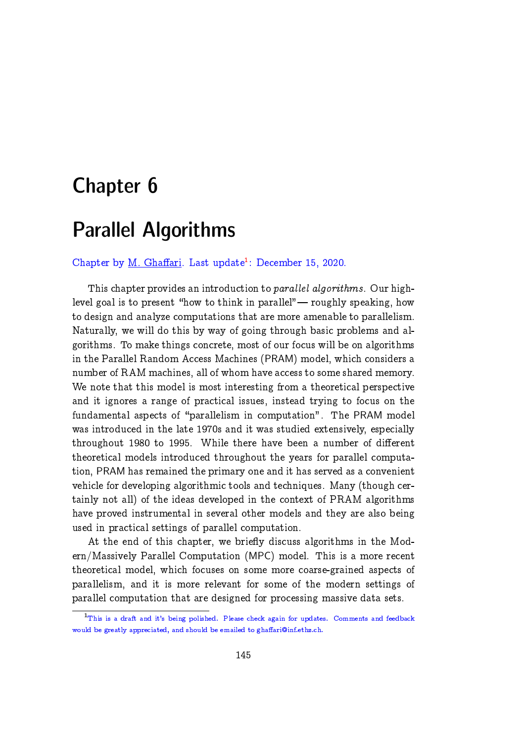# Chapter 6

# Parallel Algorithms

Chapter by M. Ghaffari. Last update<sup>[1](#page-0-0)</sup>: December 15, 2020.

This chapter provides an introduction to parallel algorithms. Our highlevel goal is to present "how to think in parallel" — roughly speaking, how to design and analyze computations that are more amenable to parallelism. Naturally, we will do this by way of going through basic problems and algorithms. To make things concrete, most of our focus will be on algorithms in the Parallel Random Access Machines (PRAM) model, which considers a number of RAM machines, all of whom have access to some shared memory. We note that this model is most interesting from a theoretical perspective and it ignores a range of practical issues, instead trying to focus on the fundamental aspects of "parallelism in computation". The PRAM model was introduced in the late 1970s and it was studied extensively, especially throughout 1980 to 1995. While there have been a number of different theoretical models introduced throughout the years for parallel computation, PRAM has remained the primary one and it has served as a convenient vehicle for developing algorithmic tools and techniques. Many (though certainly not all) of the ideas developed in the context of PRAM algorithms have proved instrumental in several other models and they are also being used in practical settings of parallel computation.

At the end of this chapter, we briefly discuss algorithms in the Modern/Massively Parallel Computation (MPC) model. This is a more recent theoretical model, which focuses on some more coarse-grained aspects of parallelism, and it is more relevant for some of the modern settings of parallel computation that are designed for processing massive data sets.

<span id="page-0-0"></span><sup>&</sup>lt;sup>1</sup>This is a draft and it's being polished. Please check again for updates. Comments and feedback would be greatly appreciated, and should be emailed to ghaffari@inf.ethz.ch.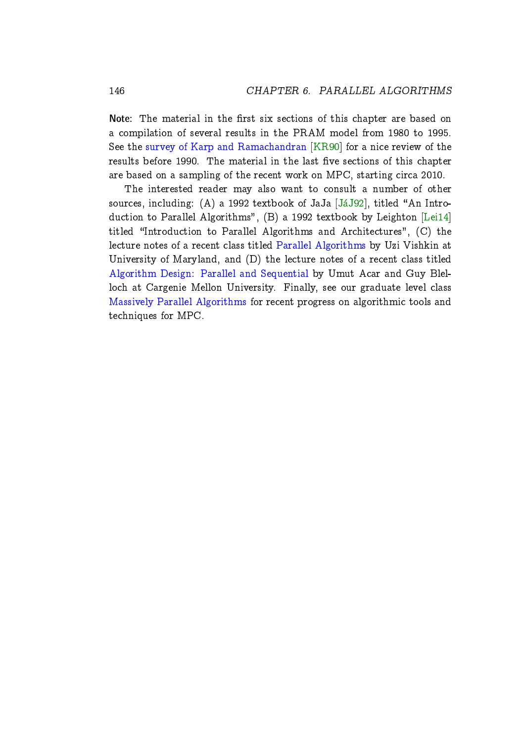Note: The material in the first six sections of this chapter are based on a compilation of several results in the PRAM model from 1980 to 1995. See the [survey of Karp and Ramachandran](https://www.sciencedirect.com/science/article/pii/B9780444880710500229) [\[KR90\]](#page-57-0) for a nice review of the results before 1990. The material in the last five sections of this chapter are based on a sampling of the recent work on MPC, starting circa 2010.

The interested reader may also want to consult a number of other sources, including: (A) a 1992 textbook of JaJa  $[JáJ92]$ , titled "An Introduction to Parallel Algorithms", (B) a 1992 textbook by Leighton [\[Lei14\]](#page-57-2) titled \Introduction to Parallel Algorithms and Architectures", (C) the lecture notes of a recent class titled [Parallel Algorithms](http://users.umiacs.umd.edu/~vishkin/PUBLICATIONS/classnotes.pdf) by Uzi Vishkin at University of Maryland, and (D) the lecture notes of a recent class titled [Algorithm Design: Parallel and Sequential](http://www.parallel-algorithms-book.com/) by Umut Acar and Guy Blelloch at Cargenie Mellon University. Finally, see our graduate level class [Massively Parallel Algorithms](https://people.inf.ethz.ch/gmohsen/MPA19/) for recent progress on algorithmic tools and techniques for MPC.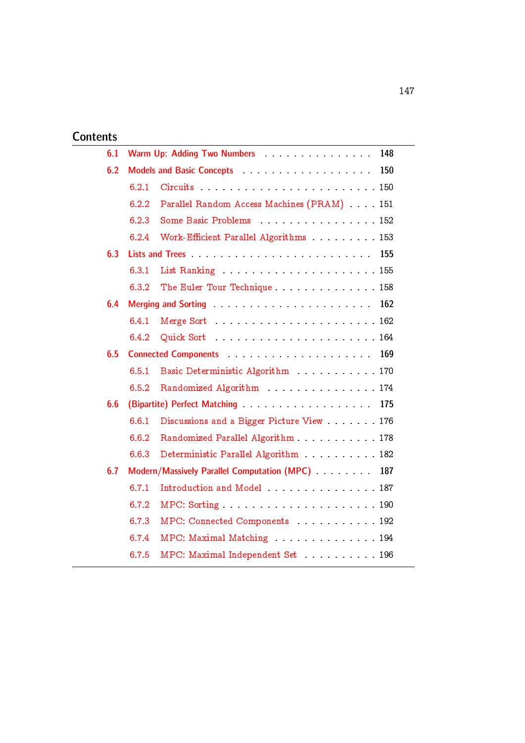# **Contents**

| 6.1 | Warm Up: Adding Two Numbers Manual Allen Marm Up: Adding Two Numbers<br>148                                                |                                                                  |
|-----|----------------------------------------------------------------------------------------------------------------------------|------------------------------------------------------------------|
| 6.2 | 150<br>Models and Basic Concepts                                                                                           |                                                                  |
|     | 6.2.1                                                                                                                      |                                                                  |
|     | 6.2.2                                                                                                                      | Parallel Random Access Machines (PRAM) 151                       |
|     | 6.2.3                                                                                                                      | Some Basic Problems 152                                          |
|     | 6.2.4                                                                                                                      | Work-Efficient Parallel Algorithms 153                           |
| 6.3 | 155                                                                                                                        |                                                                  |
|     | 6.3.1                                                                                                                      |                                                                  |
|     | 6.3.2                                                                                                                      | The Euler Tour Technique  158                                    |
| 6.4 | Merging and Sorting enterstated and service and service and service and service and service and service and service<br>162 |                                                                  |
|     | 6.4.1                                                                                                                      |                                                                  |
|     | 6.4.2                                                                                                                      |                                                                  |
| 6.5 | 169                                                                                                                        |                                                                  |
|     | 6.5.1                                                                                                                      | Basic Deterministic Algorithm 170                                |
|     | 6.5.2                                                                                                                      | Randomized Algorithm 174                                         |
| 6.6 |                                                                                                                            | 175                                                              |
|     | 6.6.1                                                                                                                      | Discussions and a Bigger Picture View 176                        |
|     | 6.6.2                                                                                                                      | Randomized Parallel Algorithm 178                                |
|     | 6.6.3                                                                                                                      | Deterministic Parallel Algorithm 182                             |
| 6.7 |                                                                                                                            | Modern/Massively Parallel Computation (MPC) Massimum 2014<br>187 |
|     | 6.7.1                                                                                                                      | Introduction and Model  187                                      |
|     | 6.7.2                                                                                                                      |                                                                  |
|     | 6.7.3                                                                                                                      | MPC: Connected Components 192                                    |
|     | 6.7.4                                                                                                                      | MPC: Maximal Matching 194                                        |
|     | 6.7.5                                                                                                                      | MPC: Maximal Independent Set  196                                |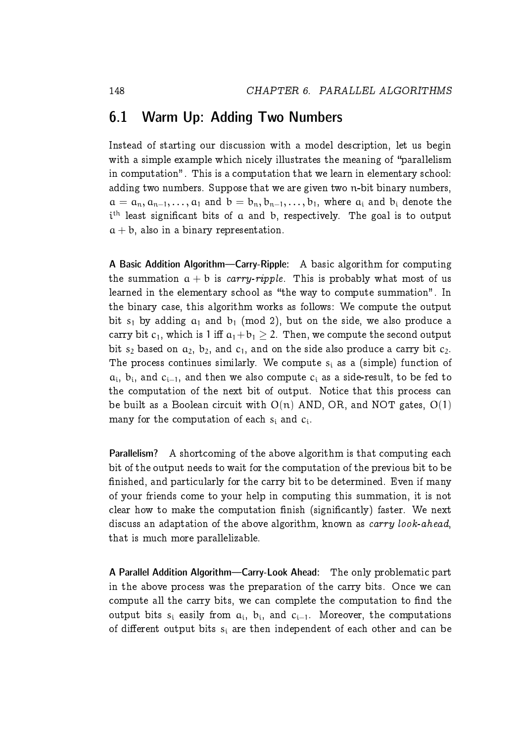### <span id="page-3-0"></span>6.1 Warm Up: Adding Two Numbers

Instead of starting our discussion with a model description, let us begin with a simple example which nicely illustrates the meaning of "parallelism" in computation". This is a computation that we learn in elementary school: adding two numbers. Suppose that we are given two n-bit binary numbers,  $a = a_n, a_{n-1}, \ldots, a_1$  and  $b = b_n, b_{n-1}, \ldots, b_1$ , where  $a_i$  and  $b_i$  denote the i<sup>th</sup> least significant bits of a and b, respectively. The goal is to output  $a + b$ , also in a binary representation.

A Basic Addition Algorithm—Carry-Ripple: A basic algorithm for computing the summation  $a + b$  is *carry-ripple*. This is probably what most of us learned in the elementary school as "the way to compute summation". In the binary case, this algorithm works as follows: We compute the output bit  $s_1$  by adding  $a_1$  and  $b_1$  (mod 2), but on the side, we also produce a carry bit  $c_1$ , which is 1 iff  $a_1+b_1 > 2$ . Then, we compute the second output bit s<sub>2</sub> based on  $a_2$ ,  $b_2$ , and  $c_1$ , and on the side also produce a carry bit  $c_2$ . The process continues similarly. We compute  $s_i$  as a (simple) function of  $a_i$ ,  $b_i$ , and  $c_{i-1}$ , and then we also compute  $c_i$  as a side-result, to be fed to the computation of the next bit of output. Notice that this process can be built as a Boolean circuit with  $O(n)$  AND, OR, and NOT gates,  $O(1)$ many for the computation of each  $s_i$  and  $c_i$ .

Parallelism? A shortcoming of the above algorithm is that computing each bit of the output needs to wait for the computation of the previous bit to be finished, and particularly for the carry bit to be determined. Even if many of your friends come to your help in computing this summation, it is not clear how to make the computation finish (significantly) faster. We next discuss an adaptation of the above algorithm, known as carry look-ahead, that is much more parallelizable.

A Parallel Addition Algorithm—Carry-Look Ahead: The only problematic part in the above process was the preparation of the carry bits. Once we can compute all the carry bits, we can complete the computation to find the output bits  $s_i$  easily from  $a_i$ ,  $b_i$ , and  $c_{i-1}$ . Moreover, the computations of different output bits  $s_i$  are then independent of each other and can be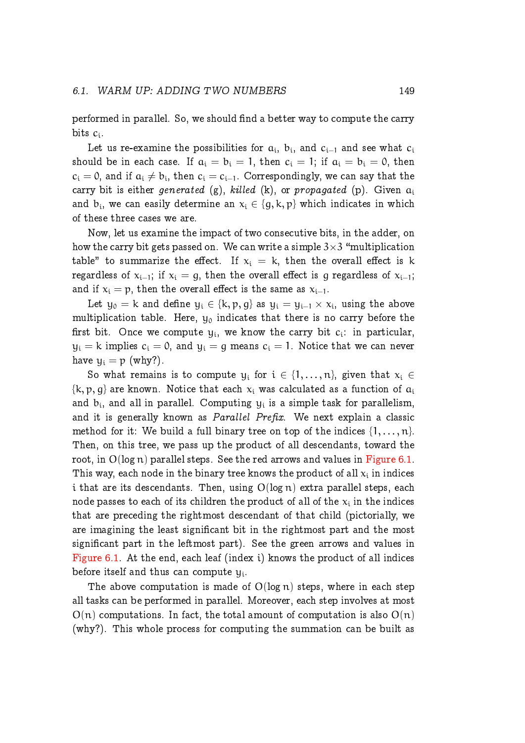performed in parallel. So, we should find a better way to compute the carry bits  $c_i$ .

Let us re-examine the possibilities for  $\mathfrak{a_i},$   $\mathfrak{b_i},$  and  $\mathfrak{c_{i-1}}$  and see what  $\mathfrak{c_i}$ should be in each case. If  $a_i = b_i = 1$ , then  $c_i = 1$ ; if  $a_i = b_i = 0$ , then  $c_i = 0$ , and if  $a_i \neq b_i$ , then  $c_i = c_{i-1}$ . Correspondingly, we can say that the carry bit is either generated (g), killed (k), or propagated (p). Given  $a_i$ and  $b_i$ , we can easily determine an  $x_i \in \{g, k, p\}$  which indicates in which of these three cases we are.

Now, let us examine the impact of two consecutive bits, in the adder, on how the carry bit gets passed on. We can write a simple  $3{\times}3$  "multiplication table" to summarize the effect. If  $x_i = k$ , then the overall effect is k regardless of  $x_{i-1}$ ; if  $x_i = q$ , then the overall effect is q regardless of  $x_{i-1}$ ; and if  $x_i = p$ , then the overall effect is the same as  $x_{i-1}$ .

Let  $y_0 = k$  and define  $y_i \in \{k, p, g\}$  as  $y_i = y_{i-1} \times x_i$ , using the above multiplication table. Here,  $y_0$  indicates that there is no carry before the first bit. Once we compute  $y_i$ , we know the carry bit  $c_i$ : in particular,  $y_i = k$  implies  $c_i = 0$ , and  $y_i = g$  means  $c_i = 1$ . Notice that we can never have  $y_i = p$  (why?).

So what remains is to compute  $y_i$  for  $i \in \{1, ..., n\}$ , given that  $x_i \in$  $\{k, p, q\}$  are known. Notice that each  $x_i$  was calculated as a function of  $a_i$ and  $b_i$ , and all in parallel. Computing  $y_i$  is a simple task for parallelism, and it is generally known as *Parallel Prefix*. We next explain a classic method for it: We build a full binary tree on top of the indices  $\{1, \ldots, n\}$ . Then, on this tree, we pass up the product of all descendants, toward the root, in  $O(log n)$  parallel steps. See the red arrows and values in [Figure 6.1.](#page-5-2) This way, each node in the binary tree knows the product of all  $\mathsf{x}_\mathfrak{i}$  in indices i that are its descendants. Then, using  $O(log n)$  extra parallel steps, each node passes to each of its children the product of all of the  $\mathsf{x}_\mathfrak{i}$  in the indices that are preceding the rightmost descendant of that child (pictorially, we are imagining the least signicant bit in the rightmost part and the most signicant part in the leftmost part). See the green arrows and values in [Figure 6.1.](#page-5-2) At the end, each leaf (index i) knows the product of all indices before itself and thus can compute  $y_i$ .

The above computation is made of  $O(log n)$  steps, where in each step all tasks can be performed in parallel. Moreover, each step involves at most  $O(n)$  computations. In fact, the total amount of computation is also  $O(n)$ (why?). This whole process for computing the summation can be built as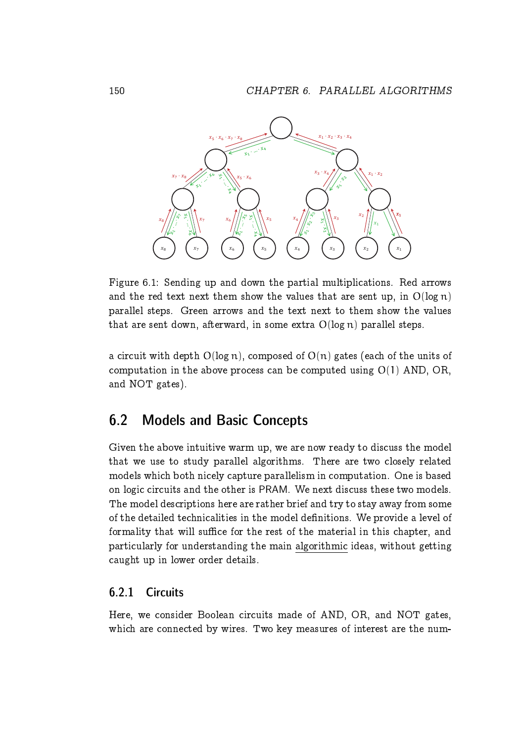

<span id="page-5-2"></span>Figure 6.1: Sending up and down the partial multiplications. Red arrows and the red text next them show the values that are sent up, in  $O(\log n)$ parallel steps. Green arrows and the text next to them show the values that are sent down, afterward, in some extra  $O(\log n)$  parallel steps.

a circuit with depth  $O(\log n)$ , composed of  $O(n)$  gates (each of the units of computation in the above process can be computed using  $O(1)$  AND, OR, and NOT gates).

# <span id="page-5-0"></span>6.2 Models and Basic Concepts

Given the above intuitive warm up, we are now ready to discuss the model that we use to study parallel algorithms. There are two closely related models which both nicely capture parallelism in computation. One is based on logic circuits and the other is PRAM. We next discuss these two models. The model descriptions here are rather brief and try to stay away from some of the detailed technicalities in the model definitions. We provide a level of formality that will suffice for the rest of the material in this chapter, and particularly for understanding the main algorithmic ideas, without getting caught up in lower order details.

### <span id="page-5-1"></span>6.2.1 Circuits

Here, we consider Boolean circuits made of AND, OR, and NOT gates, which are connected by wires. Two key measures of interest are the num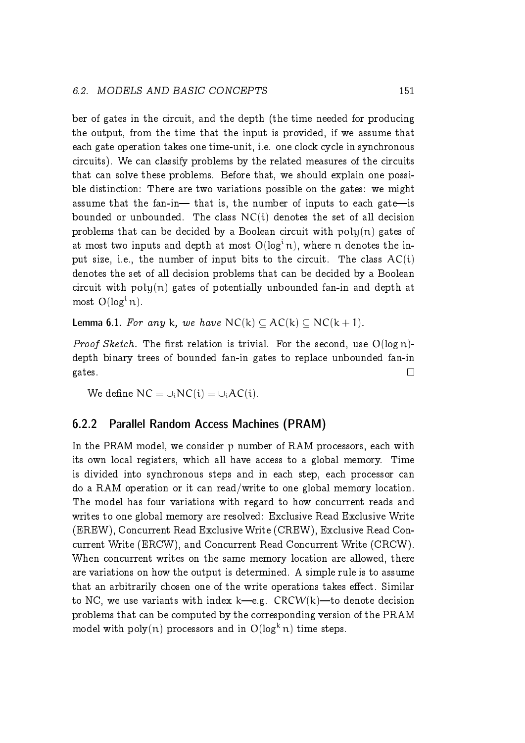ber of gates in the circuit, and the depth (the time needed for producing the output, from the time that the input is provided, if we assume that each gate operation takes one time-unit, i.e. one clock cycle in synchronous circuits). We can classify problems by the related measures of the circuits that can solve these problems. Before that, we should explain one possible distinction: There are two variations possible on the gates: we might assume that the fan-in- $-$  that is, the number of inputs to each gate-is bounded or unbounded. The class  $NC(i)$  denotes the set of all decision problems that can be decided by a Boolean circuit with  $poly(n)$  gates of at most two inputs and depth at most  $O(log<sup>i</sup> n)$ , where n denotes the input size, i.e., the number of input bits to the circuit. The class  $AC(i)$ denotes the set of all decision problems that can be decided by a Boolean circuit with  $poly(n)$  gates of potentially unbounded fan-in and depth at most  $O(log<sup>i</sup> n)$ .

<span id="page-6-1"></span>**Lemma 6.1.** For any k, we have  $NC(k) \subset AC(k) \subset NC(k+1)$ .

*Proof Sketch.* The first relation is trivial. For the second, use  $O(\log n)$ depth binary trees of bounded fan-in gates to replace unbounded fan-in  $\Box$ gates.

We define  $NC = \bigcup_i NC(i) = \bigcup_i AC(i).$ 

### <span id="page-6-0"></span>6.2.2 Parallel Random Access Machines (PRAM)

In the PRAM model, we consider p number of RAM processors, each with its own local registers, which all have access to a global memory. Time is divided into synchronous steps and in each step, each processor can do a RAM operation or it can read/write to one global memory location. The model has four variations with regard to how concurrent reads and writes to one global memory are resolved: Exclusive Read Exclusive Write (EREW), Concurrent Read Exclusive Write (CREW), Exclusive Read Concurrent Write (ERCW), and Concurrent Read Concurrent Write (CRCW). When concurrent writes on the same memory location are allowed, there are variations on how the output is determined. A simple rule is to assume that an arbitrarily chosen one of the write operations takes effect. Similar to NC, we use variants with index k—e.g.  $CRCW(k)$ —to denote decision problems that can be computed by the corresponding version of the PRAM model with poly(n) processors and in  $O(log^k n)$  time steps.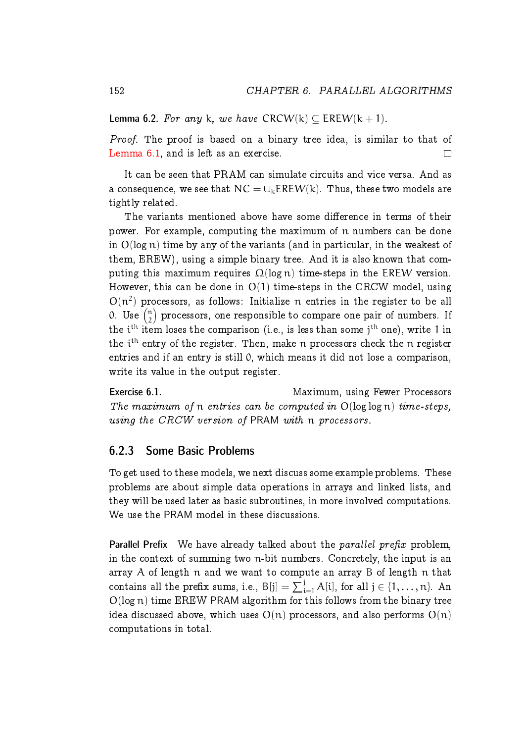**Lemma 6.2.** For any k, we have CRCW(k)  $\subset$  EREW(k + 1).

Proof. The proof is based on a binary tree idea, is similar to that of [Lemma 6.1,](#page-6-1) and is left as an exercise.  $\Box$ 

It can be seen that PRAM can simulate circuits and vice versa. And as a consequence, we see that  $NC = \bigcup_k EREW(k)$ . Thus, these two models are tightly related.

The variants mentioned above have some difference in terms of their power. For example, computing the maximum of n numbers can be done in  $O(\log n)$  time by any of the variants (and in particular, in the weakest of them, EREW), using a simple binary tree. And it is also known that computing this maximum requires  $\Omega(\log n)$  time-steps in the EREW version. However, this can be done in  $O(1)$  time-steps in the CRCW model, using  $O(n^2)$  processors, as follows: Initialize n entries in the register to be all 0. Use  $\binom{n}{2}$  $\binom{n}{2}$  processors, one responsible to compare one pair of numbers. If the  $\mathfrak{i}^{\text{th}}$  item loses the comparison (i.e., is less than some  $\mathfrak{j}^{\text{th}}$  one), write 1 in the i<sup>th</sup> entry of the register. Then, make  $\mathfrak n$  processors check the  $\mathfrak n$  register entries and if an entry is still 0, which means it did not lose a comparison, write its value in the output register.

Exercise 6.1. The Maximum, using Fewer Processors The maximum of n entries can be computed in  $O(log log n)$  time-steps, using the CRCW version of PRAM with n processors.

#### <span id="page-7-0"></span>6.2.3 Some Basic Problems

To get used to these models, we next discuss some example problems. These problems are about simple data operations in arrays and linked lists, and they will be used later as basic subroutines, in more involved computations. We use the PRAM model in these discussions.

Parallel Prefix We have already talked about the parallel prefix problem, in the context of summing two n-bit numbers. Concretely, the input is an array A of length n and we want to compute an array B of length n that contains all the prefix sums, i.e.,  $B[j] = \sum_{i=1}^{j} A[i]$ , for all  $j \in \{1, \ldots, n\}$ . An O(log n) time EREW PRAM algorithm for this follows from the binary tree idea discussed above, which uses  $O(n)$  processors, and also performs  $O(n)$ computations in total.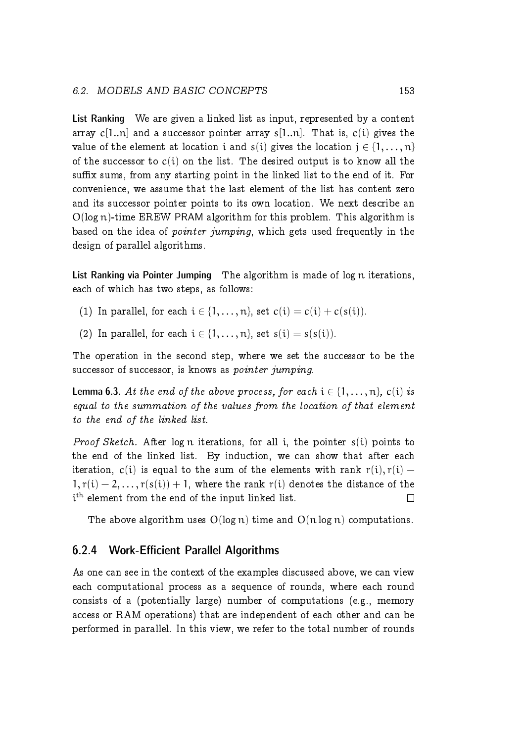#### 6.2. MODELS AND BASIC CONCEPTS 153

List Ranking We are given a linked list as input, represented by a content array  $c[1..n]$  and a successor pointer array  $s[1..n]$ . That is,  $c(i)$  gives the value of the element at location i and  $s(i)$  gives the location  $j \in \{1, \ldots, n\}$ of the successor to  $c(i)$  on the list. The desired output is to know all the suffix sums, from any starting point in the linked list to the end of it. For convenience, we assume that the last element of the list has content zero and its successor pointer points to its own location. We next describe an  $O(log n)$ -time EREW PRAM algorithm for this problem. This algorithm is based on the idea of *pointer jumping*, which gets used frequently in the design of parallel algorithms.

List Ranking via Pointer Jumping The algorithm is made of log n iterations, each of which has two steps, as follows:

- (1) In parallel, for each  $i \in \{1, \ldots, n\}$ , set  $c(i) = c(i) + c(s(i))$ .
- (2) In parallel, for each  $i \in \{1, \ldots, n\}$ , set  $s(i) = s(s(i))$ .

The operation in the second step, where we set the successor to be the successor of successor, is knows as *pointer jumping*.

**Lemma 6.3.** At the end of the above process, for each  $i \in \{1, ..., n\}$ , c(i) is equal to the summation of the values from the location of that element to the end of the linked list.

Proof Sketch. After log n iterations, for all i, the pointer s(i) points to the end of the linked list. By induction, we can show that after each iteration, c(i) is equal to the sum of the elements with rank  $r(i)$ ,  $r(i)$  –  $1, r(i) - 2, \ldots, r(s(i)) + 1$ , where the rank r(i) denotes the distance of the i<sup>th</sup> element from the end of the input linked list.  $\Box$ 

The above algorithm uses  $O(\log n)$  time and  $O(n \log n)$  computations.

#### <span id="page-8-0"></span>6.2.4 Work-Efficient Parallel Algorithms

As one can see in the context of the examples discussed above, we can view each computational process as a sequence of rounds, where each round consists of a (potentially large) number of computations (e.g., memory access or RAM operations) that are independent of each other and can be performed in parallel. In this view, we refer to the total number of rounds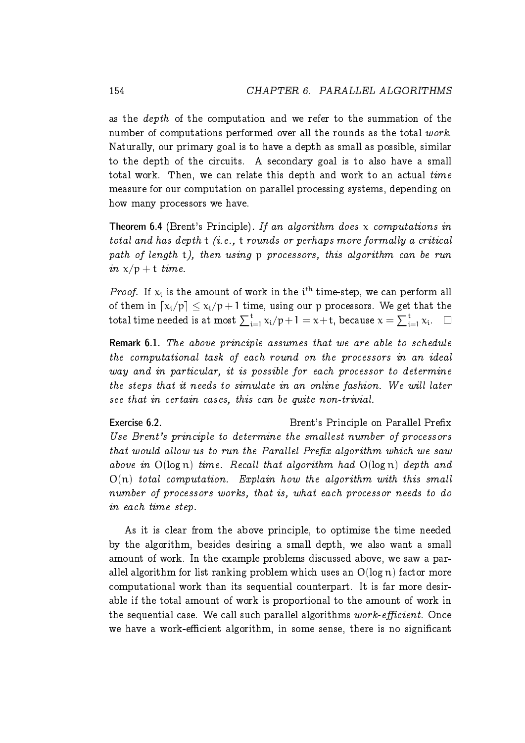as the depth of the computation and we refer to the summation of the number of computations performed over all the rounds as the total work. Naturally, our primary goal is to have a depth as small as possible, similar to the depth of the circuits. A secondary goal is to also have a small total work. Then, we can relate this depth and work to an actual time measure for our computation on parallel processing systems, depending on how many processors we have.

Theorem 6.4 (Brent's Principle). If an algorithm does  $x$  computations in total and has depth  $t$  (i.e.,  $t$  rounds or perhaps more formally a critical path of length t), then using p processors, this algorithm can be run in  $x/p + t$  time.

*Proof.* If  $x_i$  is the amount of work in the i<sup>th</sup> time-step, we can perform all of them in  $\lceil x_i/p \rceil \leq x_i/p + 1$  time, using our p processors. We get that the total time needed is at most  $\sum_{i=1}^t x_i/p+1 = x+t,$  because  $x = \sum_{i=1}^t x_i.$ 

Remark 6.1. The above principle assumes that we are able to schedule the computational task of each round on the processors in an ideal way and in particular, it is possible for each processor to determine the steps that it needs to simulate in an online fashion. We will later see that in certain cases, this can be quite non-trivial.

Exercise 6.2. The Secret of Brent's Principle on Parallel Prefix Use Brent's principle to determine the smallest number of processors that would allow us to run the Parallel Prefix algorithm which we saw above in  $O(log n)$  time. Recall that algorithm had  $O(log n)$  depth and  $O(n)$  total computation. Explain how the algorithm with this small number of processors works, that is, what each processor needs to do in each time step.

As it is clear from the above principle, to optimize the time needed by the algorithm, besides desiring a small depth, we also want a small amount of work. In the example problems discussed above, we saw a parallel algorithm for list ranking problem which uses an  $O(\log n)$  factor more computational work than its sequential counterpart. It is far more desirable if the total amount of work is proportional to the amount of work in the sequential case. We call such parallel algorithms  $work\text{-}efficient$ . Once we have a work-efficient algorithm, in some sense, there is no significant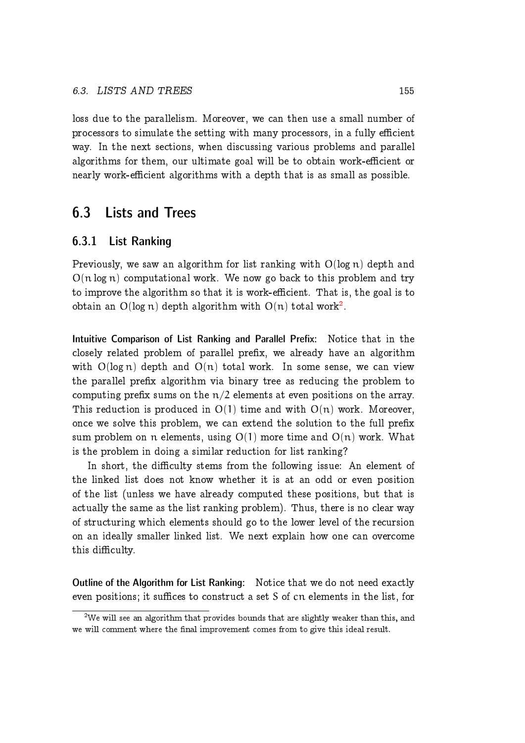loss due to the parallelism. Moreover, we can then use a small number of processors to simulate the setting with many processors, in a fully efficient way. In the next sections, when discussing various problems and parallel algorithms for them, our ultimate goal will be to obtain work-efficient or nearly work-efficient algorithms with a depth that is as small as possible.

# <span id="page-10-0"></span>6.3 Lists and Trees

#### <span id="page-10-1"></span>6.3.1 List Ranking

Previously, we saw an algorithm for list ranking with  $O(log n)$  depth and  $O(n \log n)$  computational work. We now go back to this problem and try to improve the algorithm so that it is work-efficient. That is, the goal is to obtain an  $O(\log n)$  depth algorithm with  $O(n)$  total work $^2.$  $^2.$  $^2.$ 

Intuitive Comparison of List Ranking and Parallel Prefix: Notice that in the closely related problem of parallel prefix, we already have an algorithm with  $O(\log n)$  depth and  $O(n)$  total work. In some sense, we can view the parallel prefix algorithm via binary tree as reducing the problem to computing prefix sums on the  $n/2$  elements at even positions on the array. This reduction is produced in  $O(1)$  time and with  $O(n)$  work. Moreover, once we solve this problem, we can extend the solution to the full prefix sum problem on n elements, using  $O(1)$  more time and  $O(n)$  work. What is the problem in doing a similar reduction for list ranking?

In short, the difficulty stems from the following issue: An element of the linked list does not know whether it is at an odd or even position of the list (unless we have already computed these positions, but that is actually the same as the list ranking problem). Thus, there is no clear way of structuring which elements should go to the lower level of the recursion on an ideally smaller linked list. We next explain how one can overcome this difficulty.

Outline of the Algorithm for List Ranking: Notice that we do not need exactly even positions; it suffices to construct a set  $S$  of  $cn$  elements in the list, for

<span id="page-10-2"></span> $2$ We will see an algorithm that provides bounds that are slightly weaker than this, and we will comment where the final improvement comes from to give this ideal result.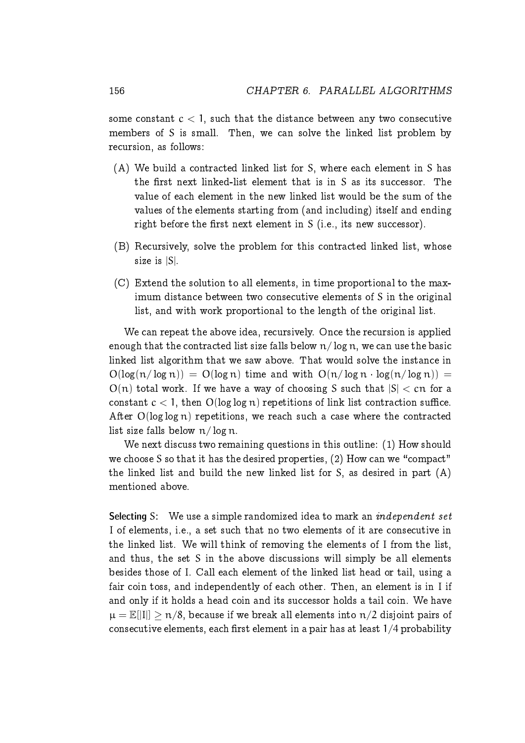some constant  $c < 1$ , such that the distance between any two consecutive members of S is small. Then, we can solve the linked list problem by recursion, as follows:

- (A) We build a contracted linked list for S, where each element in S has the first next linked-list element that is in  $S$  as its successor. The value of each element in the new linked list would be the sum of the values of the elements starting from (and including) itself and ending right before the first next element in  $S$  (i.e., its new successor).
- (B) Recursively, solve the problem for this contracted linked list, whose size is |S|.
- (C) Extend the solution to all elements, in time proportional to the maximum distance between two consecutive elements of S in the original list, and with work proportional to the length of the original list.

We can repeat the above idea, recursively. Once the recursion is applied enough that the contracted list size falls below  $n/\log n$ , we can use the basic linked list algorithm that we saw above. That would solve the instance in  $O(log(n/log n)) = O(log n)$  time and with  $O(n/log n \cdot log(n/log n)) =$  $O(n)$  total work. If we have a way of choosing S such that  $|S| < cn$  for a constant  $c < 1$ , then  $O(\log \log n)$  repetitions of link list contraction suffice. After  $O(\log \log n)$  repetitions, we reach such a case where the contracted list size falls below n/ log n.

We next discuss two remaining questions in this outline: (1) How should we choose S so that it has the desired properties,  $(2)$  How can we "compact" the linked list and build the new linked list for S, as desired in part (A) mentioned above.

Selecting S: We use a simple randomized idea to mark an *independent set* I of elements, i.e., a set such that no two elements of it are consecutive in the linked list. We will think of removing the elements of I from the list, and thus, the set S in the above discussions will simply be all elements besides those of I. Call each element of the linked list head or tail, using a fair coin toss, and independently of each other. Then, an element is in I if and only if it holds a head coin and its successor holds a tail coin. We have  $\mu = \mathbb{E}[\Pi] > \pi/8$ , because if we break all elements into  $\pi/2$  disjoint pairs of consecutive elements, each first element in a pair has at least  $1/4$  probability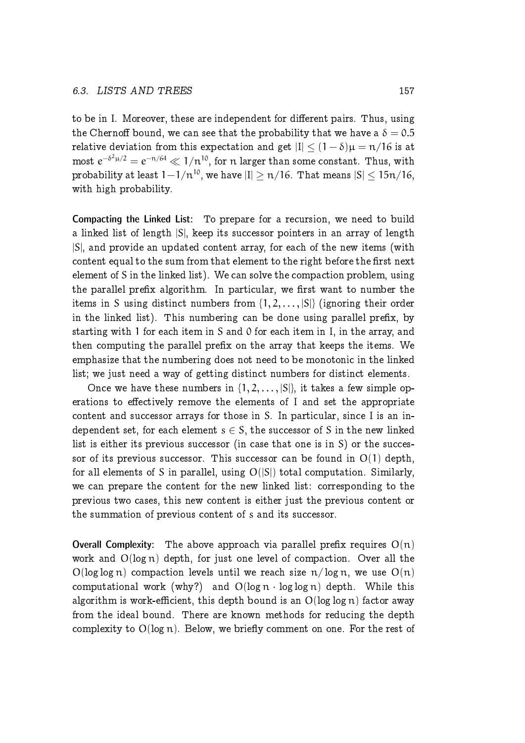#### 6.3. LISTS AND TREES 157

to be in I. Moreover, these are independent for different pairs. Thus, using the Chernoff bound, we can see that the probability that we have a  $\delta = 0.5$ relative deviation from this expectation and get  $|I| < (1 - \delta)\mu = \frac{n}{16}$  is at most  $e^{-\delta^2\mu/2}=e^{-n/64}\ll 1/n^{10}$ , for  $n$  larger than some constant. Thus, with probability at least  $1-1/n^{10}$ , we have  $|I| > n/16$ . That means  $|S| < 15n/16$ , with high probability.

Compacting the Linked List: To prepare for a recursion, we need to build a linked list of length |S|, keep its successor pointers in an array of length |S|, and provide an updated content array, for each of the new items (with content equal to the sum from that element to the right before the first next element of S in the linked list). We can solve the compaction problem, using the parallel prefix algorithm. In particular, we first want to number the items in S using distinct numbers from  $\{1, 2, \ldots, |S|\}$  (ignoring their order in the linked list). This numbering can be done using parallel prefix, by starting with 1 for each item in S and 0 for each item in I, in the array, and then computing the parallel prefix on the array that keeps the items. We emphasize that the numbering does not need to be monotonic in the linked list; we just need a way of getting distinct numbers for distinct elements.

Once we have these numbers in  $\{1, 2, \ldots, |S|\}$ , it takes a few simple operations to effectively remove the elements of I and set the appropriate content and successor arrays for those in S. In particular, since I is an independent set, for each element  $s \in S$ , the successor of S in the new linked list is either its previous successor (in case that one is in S) or the successor of its previous successor. This successor can be found in  $O(1)$  depth, for all elements of S in parallel, using  $O(|S|)$  total computation. Similarly, we can prepare the content for the new linked list: corresponding to the previous two cases, this new content is either just the previous content or the summation of previous content of s and its successor.

**Overall Complexity:** The above approach via parallel prefix requires  $O(n)$ work and O(log n) depth, for just one level of compaction. Over all the  $O(log log n)$  compaction levels until we reach size  $n/log n$ , we use  $O(n)$ computational work (why?) and  $O(log n \cdot log log n)$  depth. While this algorithm is work-efficient, this depth bound is an  $O(\log \log n)$  factor away from the ideal bound. There are known methods for reducing the depth complexity to  $O(\log n)$ . Below, we briefly comment on one. For the rest of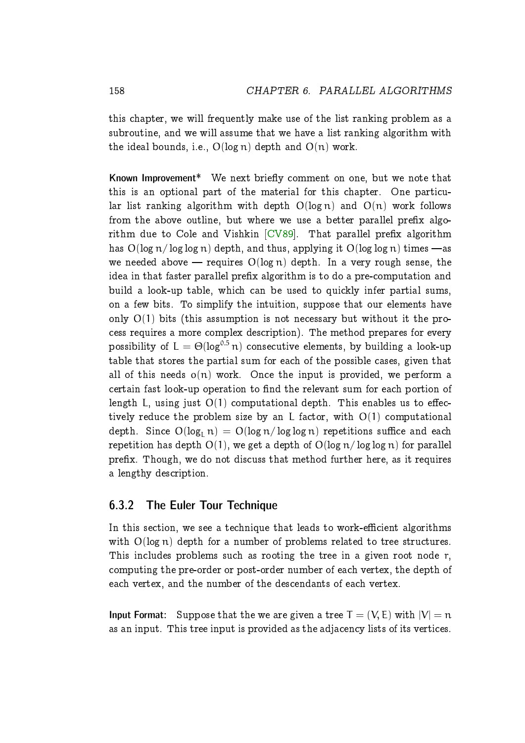this chapter, we will frequently make use of the list ranking problem as a subroutine, and we will assume that we have a list ranking algorithm with the ideal bounds, i.e.,  $O(\log n)$  depth and  $O(n)$  work.

Known Improvement\* We next briefly comment on one, but we note that this is an optional part of the material for this chapter. One particular list ranking algorithm with depth  $O(log n)$  and  $O(n)$  work follows from the above outline, but where we use a better parallel prefix algorithm due to Cole and Vishkin  $[CV89]$ . That parallel prefix algorithm has  $O(\log n / \log \log n)$  depth, and thus, applying it  $O(\log \log n)$  times —as we needed above — requires  $O(log n)$  depth. In a very rough sense, the idea in that faster parallel prefix algorithm is to do a pre-computation and build a look-up table, which can be used to quickly infer partial sums, on a few bits. To simplify the intuition, suppose that our elements have only  $O(1)$  bits (this assumption is not necessary but without it the process requires a more complex description). The method prepares for every possibility of  $L = \Theta(\log^{0.5} n)$  consecutive elements, by building a look-up table that stores the partial sum for each of the possible cases, given that all of this needs  $o(n)$  work. Once the input is provided, we perform a certain fast look-up operation to find the relevant sum for each portion of length L, using just  $O(1)$  computational depth. This enables us to effectively reduce the problem size by an L factor, with  $O(1)$  computational depth. Since  $O(log_{L} n) = O(log n / log log n)$  repetitions suffice and each repetition has depth  $O(1)$ , we get a depth of  $O(\log n / \log \log n)$  for parallel prefix. Though, we do not discuss that method further here, as it requires a lengthy description.

#### <span id="page-13-0"></span>6.3.2 The Euler Tour Technique

In this section, we see a technique that leads to work-efficient algorithms with O(log n) depth for a number of problems related to tree structures. This includes problems such as rooting the tree in a given root node r, computing the pre-order or post-order number of each vertex, the depth of each vertex, and the number of the descendants of each vertex.

**Input Format:** Suppose that the we are given a tree  $T = (V, E)$  with  $|V| = n$ as an input. This tree input is provided as the adjacency lists of its vertices.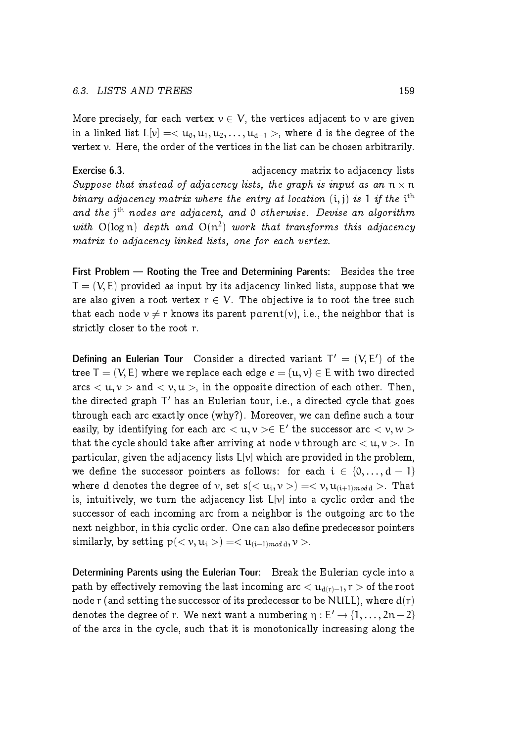More precisely, for each vertex  $v \in V$ , the vertices adjacent to v are given in a linked list  $L[v] = \langle u_0, u_1, u_2, \dots, u_{d-1} \rangle$ , where d is the degree of the vertex  $\nu$ . Here, the order of the vertices in the list can be chosen arbitrarily.

Exercise 6.3. **Exercise 6.3. adjacency matrix to adjacency lists** Suppose that instead of adjacency lists, the graph is input as an  $n \times n$ binary adjacency matrix where the entry at location  $(i, j)$  is 1 if the i<sup>th</sup> and the j<sup>th</sup> nodes are adjacent, and 0 otherwise. Devise an algorithm with  $O(log n)$  depth and  $O(n^2)$  work that transforms this adjacency matrix to adjacency linked lists, one for each vertex.

First Problem — Rooting the Tree and Determining Parents: Besides the tree  $T = (V, E)$  provided as input by its adjacency linked lists, suppose that we are also given a root vertex  $r \in V$ . The objective is to root the tree such that each node  $v \neq r$  knows its parent parent(v), i.e., the neighbor that is strictly closer to the root r.

Defining an Eulerian Tour Consider a directed variant  $T' = (V, E')$  of the tree  $T = (V, E)$  where we replace each edge  $e = \{u, v\} \in E$  with two directed arcs  $\langle u, v \rangle$  and  $\langle v, u \rangle$ , in the opposite direction of each other. Then, the directed graph  $\mathsf{T}'$  has an Eulerian tour, i.e., a directed cycle that goes through each arc exactly once (why?). Moreover, we can define such a tour easily, by identifying for each arc  $<$   $\mathfrak{u}, \mathfrak{v}> \in$   $\mathsf{E}'$  the successor arc  $<$   $\mathfrak{v}, \mathfrak{w}>$ that the cycle should take after arriving at node v through arc  $\langle u, v \rangle$ . In particular, given the adjacency lists  $L[v]$  which are provided in the problem, we define the successor pointers as follows: for each  $i \in \{0, ..., d - 1\}$ where  ${\rm d}$  denotes the degree of  ${\rm v},$  set  ${\rm s}(<{\rm u}_{\rm i}, {\rm v}>)=<{\rm v}, {\rm u}_{({\rm i}+1) \textit{mod} \textit{d}}>.$  That is, intuitively, we turn the adjacency list  $L[\nu]$  into a cyclic order and the successor of each incoming arc from a neighbor is the outgoing arc to the next neighbor, in this cyclic order. One can also define predecessor pointers similarly, by setting  $p( $v, u_i >$ ) =  $u_{(i-1) \mod d}, v >$ .$ 

Determining Parents using the Eulerian Tour: Break the Eulerian cycle into a path by effectively removing the last incoming arc  $\lt u_{d(r)-1}$ , r  $>$  of the root node r (and setting the successor of its predecessor to be NULL), where  $d(r)$ denotes the degree of r. We next want a numbering  $\eta : E' \to \{1, \ldots, 2n-2\}$ of the arcs in the cycle, such that it is monotonically increasing along the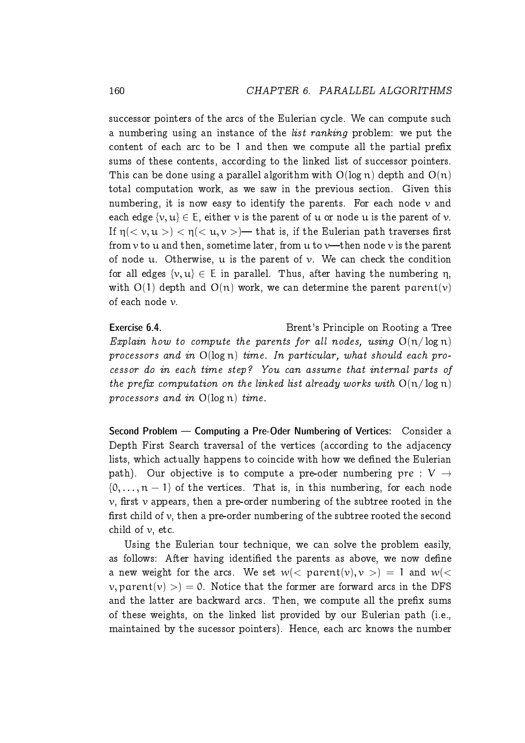successor pointers of the arcs of the Eulerian cycle. We can compute such a numbering using an instance of the *list ranking* problem: we put the content of each arc to be 1 and then we compute all the partial prefix sums of these contents, according to the linked list of successor pointers. This can be done using a parallel algorithm with  $O(log n)$  depth and  $O(n)$ total computation work, as we saw in the previous section. Given this numbering, it is now easy to identify the parents. For each node  $\nu$  and each edge  $\{v, u\} \in E$ , either v is the parent of u or node u is the parent of v. If  $\eta$ ( $\lt v, u >$ )  $\lt \eta$ ( $\lt u, v >$ ) that is, if the Eulerian path traverses first from  $v$  to  $u$  and then, sometime later, from  $u$  to  $v$ —then node  $v$  is the parent of node u. Otherwise, u is the parent of  $\nu$ . We can check the condition for all edges  $\{v, u\} \in E$  in parallel. Thus, after having the numbering  $\eta$ , with  $O(1)$  depth and  $O(n)$  work, we can determine the parent parent(v) of each node v.

Exercise 6.4. Brent's Principle on Rooting a Tree Explain how to compute the parents for all nodes, using  $O(n/\log n)$ processors and in  $O(log n)$  time. In particular, what should each processor do in each time step? You can assume that internal parts of the prefix computation on the linked list already works with  $O(n/\log n)$ processors and in  $O(log n)$  time.

Second Problem — Computing a Pre-Oder Numbering of Vertices: Consider a Depth First Search traversal of the vertices (according to the adjacency lists, which actually happens to coincide with how we defined the Eulerian path). Our objective is to compute a pre-oder numbering pre :  $V \rightarrow$  ${0, \ldots, n-1}$  of the vertices. That is, in this numbering, for each node  $\nu$ , first  $\nu$  appears, then a pre-order numbering of the subtree rooted in the first child of  $\nu$ , then a pre-order numbering of the subtree rooted the second child of  $\nu$ , etc.

Using the Eulerian tour technique, we can solve the problem easily, as follows: After having identified the parents as above, we now define a new weight for the arcs. We set  $w(<$  parent $(v), v>) = 1$  and  $w(<$  $v,$  parent(v)  $>$ ) = 0. Notice that the former are forward arcs in the DFS and the latter are backward arcs. Then, we compute all the prefix sums of these weights, on the linked list provided by our Eulerian path (i.e., maintained by the sucessor pointers). Hence, each arc knows the number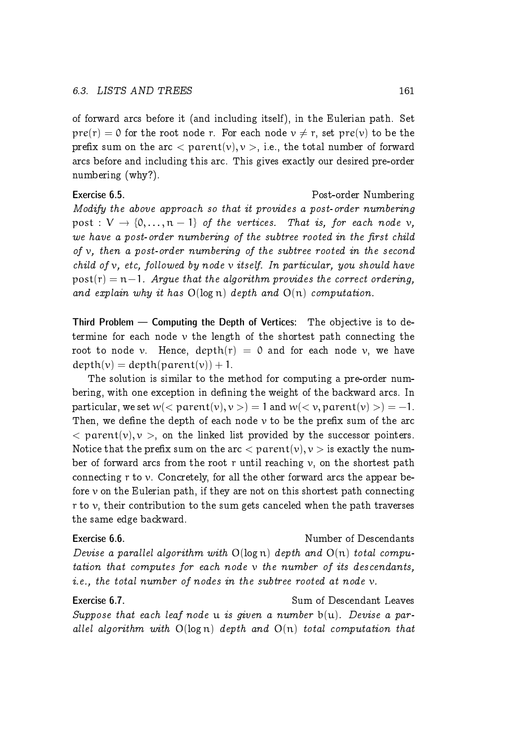of forward arcs before it (and including itself), in the Eulerian path. Set  $pre(r) = 0$  for the root node r. For each node  $v \neq r$ , set  $pre(v)$  to be the prefix sum on the arc  $\langle$  parent(v), v  $>$ , i.e., the total number of forward arcs before and including this arc. This gives exactly our desired pre-order numbering (why?).

Exercise 6.5. Post-order Numbering Modify the above approach so that it provides a post-order numbering post :  $V \rightarrow \{0, \ldots, n-1\}$  of the vertices. That is, for each node v, we have a post-order numbering of the subtree rooted in the first child of  $v$ , then a post-order numbering of the subtree rooted in the second child of v, etc, followed by node v itself. In particular, you should have  $post(r) = n-1$ . Argue that the algorithm provides the correct ordering, and explain why it has  $O(log n)$  depth and  $O(n)$  computation.

Third Problem — Computing the Depth of Vertices: The objective is to determine for each node  $\nu$  the length of the shortest path connecting the root to node v. Hence,  $depth(r) = 0$  and for each node v, we have  $depth(v) = depth(parent(v)) + 1.$ 

The solution is similar to the method for computing a pre-order numbering, with one exception in defining the weight of the backward arcs. In particular, we set  $w(*parent(v)*, v>) = 1$  and  $w(*v*, parent(v)) = -1$ . Then, we define the depth of each node  $\nu$  to be the prefix sum of the arc  $\langle$  parent(v),  $\nu$   $>$ , on the linked list provided by the successor pointers. Notice that the prefix sum on the arc  $\langle$  parent $(v), v \rangle$  is exactly the number of forward arcs from the root r until reaching  $v$ , on the shortest path connecting r to v. Concretely, for all the other forward arcs the appear before  $\nu$  on the Eulerian path, if they are not on this shortest path connecting r to  $\nu$ , their contribution to the sum gets canceled when the path traverses the same edge backward.

### Exercise 6.6. Number of Descendants Devise a parallel algorithm with  $O(log n)$  depth and  $O(n)$  total computation that computes for each node v the number of its descendants, i.e., the total number of nodes in the subtree rooted at node v.

Exercise 6.7. Sum of Descendant Leaves Suppose that each leaf node u is given a number  $b(u)$ . Devise a parallel algorithm with  $O(log n)$  depth and  $O(n)$  total computation that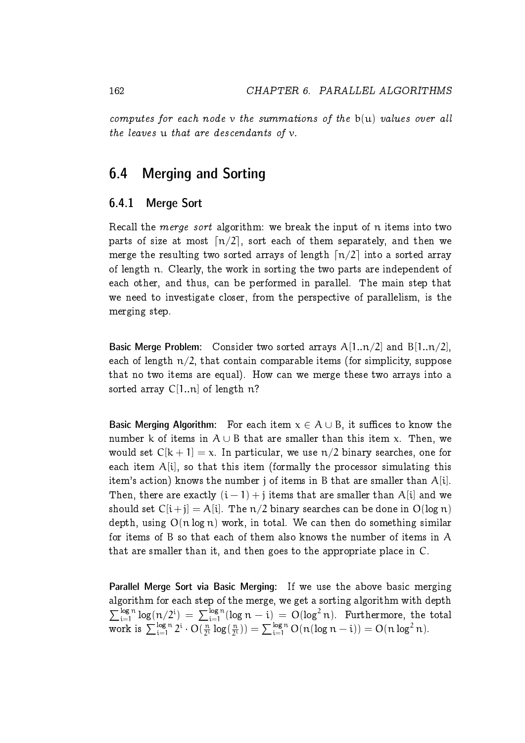computes for each node v the summations of the  $b(u)$  values over all the leaves u that are descendants of v.

# <span id="page-17-0"></span>6.4 Merging and Sorting

#### <span id="page-17-1"></span>6.4.1 Merge Sort

Recall the merge sort algorithm: we break the input of n items into two parts of size at most  $\lceil n/2 \rceil$ , sort each of them separately, and then we merge the resulting two sorted arrays of length  $\lceil n/2 \rceil$  into a sorted array of length n. Clearly, the work in sorting the two parts are independent of each other, and thus, can be performed in parallel. The main step that we need to investigate closer, from the perspective of parallelism, is the merging step.

Basic Merge Problem: Consider two sorted arrays  $A[1..n/2]$  and  $B[1..n/2]$ , each of length  $n/2$ , that contain comparable items (for simplicity, suppose that no two items are equal). How can we merge these two arrays into a sorted array  $C[1..n]$  of length n?

Basic Merging Algorithm: For each item  $x \in A \cup B$ , it suffices to know the number k of items in  $A \cup B$  that are smaller than this item x. Then, we would set  $C[k+1] = x$ . In particular, we use  $n/2$  binary searches, one for each item  $A[i]$ , so that this item (formally the processor simulating this item's action) knows the number *j* of items in B that are smaller than  $A[i]$ . Then, there are exactly  $(i - 1) + j$  items that are smaller than A[i] and we should set  $C[i+j] = A[i]$ . The  $n/2$  binary searches can be done in  $O(\log n)$ depth, using  $O(n \log n)$  work, in total. We can then do something similar for items of B so that each of them also knows the number of items in A that are smaller than it, and then goes to the appropriate place in C.

Parallel Merge Sort via Basic Merging: If we use the above basic merging algorithm for each step of the merge, we get a sorting algorithm with depth  $\sum_{i=1}^{\log n} \log(n/2^i) = \sum_{i=1}^{\log n} (\log n - i) = O(\log^2 n)$ . Furthermore, the total work is  $\sum_{i=1}^{\log n} 2^i \cdot O(\frac{n}{2^i})$  $\frac{n}{2^i}$  log( $\frac{n}{2^i}$  $(\frac{n}{2^i})$ ) =  $\sum_{i=1}^{\log n} O(n(\log n - i)) = O(n \log^2 n).$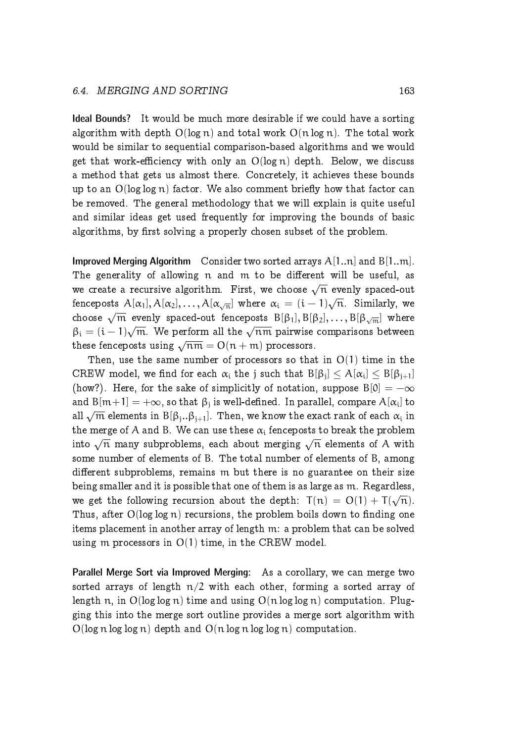Ideal Bounds? It would be much more desirable if we could have a sorting algorithm with depth  $O(\log n)$  and total work  $O(n \log n)$ . The total work would be similar to sequential comparison-based algorithms and we would get that work-efficiency with only an  $O(log n)$  depth. Below, we discuss a method that gets us almost there. Concretely, it achieves these bounds up to an  $O(\log \log n)$  factor. We also comment briefly how that factor can be removed. The general methodology that we will explain is quite useful and similar ideas get used frequently for improving the bounds of basic algorithms, by first solving a properly chosen subset of the problem.

**Improved Merging Algorithm** Consider two sorted arrays  $A[1..n]$  and  $B[1..m]$ . The generality of allowing n and m to be different will be useful, as we create a recursive algorithm. First, we choose  $\sqrt{n}$  evenly spaced-out fenceposts  $A[\alpha_1],A[\alpha_2],\ldots,A[\alpha_{\sqrt{n}}]$  where  $\alpha_i\,=\,(i-1)\sqrt{n}.$  Similarly, we choose  $\sqrt{m}$  evenly spaced-out fenceposts  $B[\beta_1], B[\beta_2], \ldots, B[\beta_{\sqrt{m}}]$  where  $\beta_i = (i-1)\sqrt{m}$ . We perform all the  $\sqrt{nm}$  pairwise comparisons between these fenceposts using  $\sqrt{nm} = O(n + m)$  processors.

Then, use the same number of processors so that in  $O(1)$  time in the CREW model, we find for each  $\alpha_i$  the j such that  $B[\beta_j] \leq A[\alpha_i] \leq B[\beta_{j+1}]$ (how?). Here, for the sake of simplicitly of notation, suppose  $B[0] = -\infty$ and  $B[m+1] = +\infty$ , so that  $\beta_j$  is well-defined. In parallel, compare  $A[\alpha_i]$  to  $\overline{B}$ all  $\sqrt{\mathfrak{m}}$  elements in  $\mathrm{B}[\beta_j..\beta_{j+1}]$ . Then, we know the exact rank of each  $\alpha_i$  in the merge of A and B. We can use these  $\alpha_i$  fenceposts to break the problem into  $\sqrt{\overline{n}}$  many subproblems, each about merging  $\sqrt{\overline{n}}$  elements of A with some number of elements of B. The total number of elements of B, among different subproblems, remains m but there is no guarantee on their size being smaller and it is possible that one of them is as large as m. Regardless, we get the following recursion about the depth:  $T(n) = O(1) + T(\sqrt{n}).$ Thus, after  $O(\log \log n)$  recursions, the problem boils down to finding one items placement in another array of length m: a problem that can be solved using m processors in  $O(1)$  time, in the CREW model.

Parallel Merge Sort via Improved Merging: As a corollary, we can merge two sorted arrays of length  $n/2$  with each other, forming a sorted array of length n, in  $O(\log \log n)$  time and using  $O(n \log \log n)$  computation. Plugging this into the merge sort outline provides a merge sort algorithm with  $O(log n log log n)$  depth and  $O(n log n log log n)$  computation.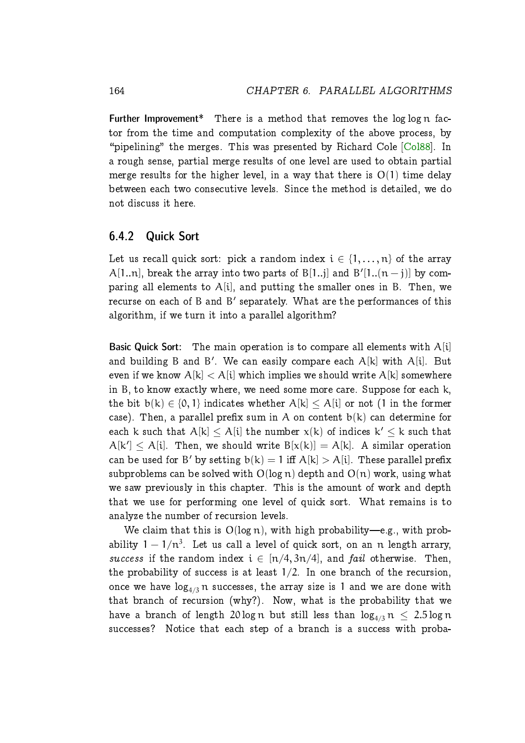Further Improvement\* There is a method that removes the log log n factor from the time and computation complexity of the above process, by "pipelining" the merges. This was presented by Richard Cole  $[Col88]$ . In a rough sense, partial merge results of one level are used to obtain partial merge results for the higher level, in a way that there is  $O(1)$  time delay between each two consecutive levels. Since the method is detailed, we do not discuss it here.

#### <span id="page-19-0"></span>6.4.2 Quick Sort

Let us recall quick sort: pick a random index  $i \in \{1, \ldots, n\}$  of the array A[1..n], break the array into two parts of B[1..j] and B'[1..( $\mathfrak{n}-\mathfrak{j})$ ] by comparing all elements to  $A[i]$ , and putting the smaller ones in B. Then, we recurse on each of B and B' separately. What are the performances of this algorithm, if we turn it into a parallel algorithm?

Basic Quick Sort: The main operation is to compare all elements with  $A[i]$ and building B and B'. We can easily compare each  $\mathcal{A}[\mathsf{k}]$  with  $\mathcal{A}[\mathsf{i}]$ . But even if we know  $A[k] < A[i]$  which implies we should write  $A[k]$  somewhere in B, to know exactly where, we need some more care. Suppose for each k, the bit  $b(k) \in \{0, 1\}$  indicates whether  $A[k] \leq A[i]$  or not (1 in the former case). Then, a parallel prefix sum in A on content  $b(k)$  can determine for each k such that  $A[k] \leq A[i]$  the number  $x(k)$  of indices  $k' \leq k$  such that  $A[k'] \leq A[i]$ . Then, we should write  $B[x(k)] = A[k]$ . A similar operation can be used for B' by setting  $\mathrm{b}(\mathrm{k})=1$  iff  $\mathrm{A}[\mathrm{k}]>\mathrm{A}[\mathrm{i}]$ . These parallel prefix subproblems can be solved with  $O(\log n)$  depth and  $O(n)$  work, using what we saw previously in this chapter. This is the amount of work and depth that we use for performing one level of quick sort. What remains is to analyze the number of recursion levels.

We claim that this is  $O(log n)$ , with high probability-e.g., with probability  $1-1/n^3$ . Let us call a level of quick sort, on an  $\mathfrak n$  length arrary, success if the random index  $i \in [n/4, 3n/4]$ , and fail otherwise. Then, the probability of success is at least  $1/2$ . In one branch of the recursion, once we have  $log_{4/3} n$  successes, the array size is 1 and we are done with that branch of recursion (why?). Now, what is the probability that we have a branch of length 20 log n but still less than  $\log_{4/3} n < 2.5 \log n$ successes? Notice that each step of a branch is a success with proba-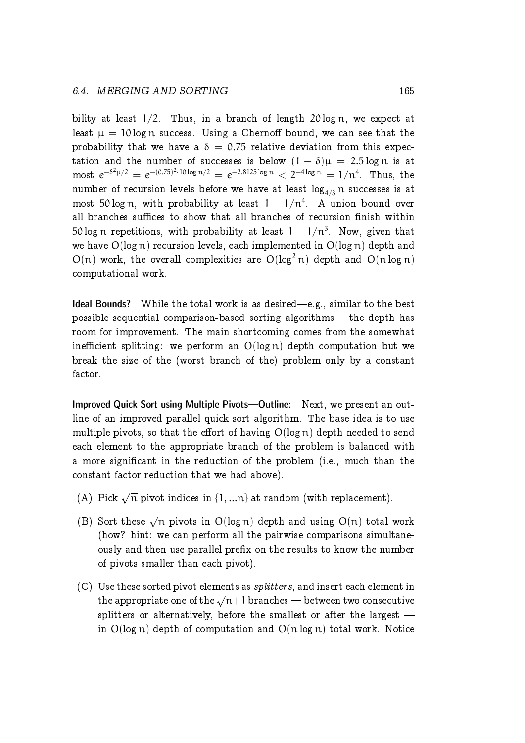bility at least  $1/2$ . Thus, in a branch of length  $20 \log n$ , we expect at least  $\mu = 10 \log n$  success. Using a Chernoff bound, we can see that the probability that we have a  $\delta = 0.75$  relative deviation from this expectation and the number of successes is below  $(1 - \delta)\mu = 2.5 \log n$  is at  ${\rm most\,\,}e^{-\delta^2\mu/2}=e^{-(0.75)^2\cdot 10\log n/2}=e^{-2.8125\log n}< 2^{-4\log n}=1/n^4.~~{\rm Thus,~the}$ number of recursion levels before we have at least  $log_{4/3} n$  successes is at most 50 logn, with probability at least  $1 - 1/n^4$ . A union bound over all branches suffices to show that all branches of recursion finish within 50 log  $\mathfrak n$  repetitions, with probability at least  $1-1/\mathfrak n^3.$  Now, given that we have  $O(\log n)$  recursion levels, each implemented in  $O(\log n)$  depth and  $O(n)$  work, the overall complexities are  $O(log^2 n)$  depth and  $O(n \log n)$ computational work.

**Ideal Bounds?** While the total work is as desired—e.g., similar to the best possible sequential comparison-based sorting algorithms— the depth has room for improvement. The main shortcoming comes from the somewhat inefficient splitting: we perform an  $O(log n)$  depth computation but we break the size of the (worst branch of the) problem only by a constant factor.

Improved Quick Sort using Multiple Pivots—Outline: Next, we present an outline of an improved parallel quick sort algorithm. The base idea is to use multiple pivots, so that the effort of having  $O(log n)$  depth needed to send each element to the appropriate branch of the problem is balanced with a more signicant in the reduction of the problem (i.e., much than the constant factor reduction that we had above).

- (A) Pick  $\sqrt{n}$  pivot indices in  $\{1, ...n\}$  at random (with replacement).
- (B) Sort these  $\sqrt{n}$  pivots in O(log n) depth and using O(n) total work (how? hint: we can perform all the pairwise comparisons simultaneously and then use parallel prefix on the results to know the number of pivots smaller than each pivot).
- (C) Use these sorted pivot elements as splitters, and insert each element in the appropriate one of the  $\sqrt{n+1}$  branches — between two consecutive splitters or alternatively, before the smallest or after the largest  $$ in  $O(\log n)$  depth of computation and  $O(n \log n)$  total work. Notice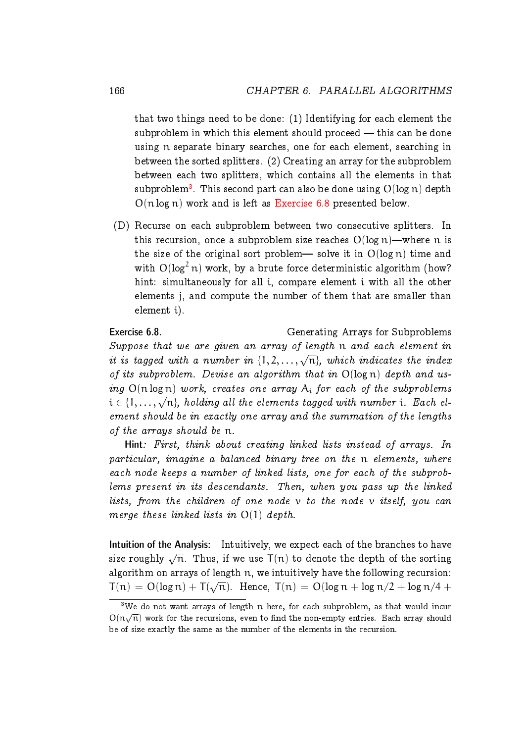that two things need to be done: (1) Identifying for each element the subproblem in which this element should proceed  $-$  this can be done using n separate binary searches, one for each element, searching in between the sorted splitters. (2) Creating an array for the subproblem between each two splitters, which contains all the elements in that  $\text{subproblem}^3.$  $\text{subproblem}^3.$  $\text{subproblem}^3.$  This second part can also be done using  $\text{O}(\log n)$  depth  $O(n \log n)$  work and is left as [Exercise 6.8](#page-21-1) presented below.

(D) Recurse on each subproblem between two consecutive splitters. In this recursion, once a subproblem size reaches  $O(log n)$ —where n is the size of the original sort problem— solve it in  $O(log n)$  time and with  $O(log<sup>2</sup> n)$  work, by a brute force deterministic algorithm (how? hint: simultaneously for all i, compare element i with all the other elements j, and compute the number of them that are smaller than element i).

<span id="page-21-1"></span>Exercise 6.8. Generating Arrays for Subproblems Suppose that we are given an array of length n and each element in it is tagged with a number in  $\{1, 2, \ldots, \sqrt{n}\}$ , which indicates the index of its subproblem. Devise an algorithm that in  $O(log n)$  depth and using  $O(n \log n)$  work, creates one array  $A_i$  for each of the subproblems  $i \in \{1, \ldots, \sqrt{n}\}$ , holding all the elements tagged with number i. Each element should be in exactly one array and the summation of the lengths of the arrays should be n.

Hint: First, think about creating linked lists instead of arrays. In particular, imagine a balanced binary tree on the n elements, where each node keeps a number of linked lists, one for each of the subproblems present in its descendants. Then, when you pass up the linked lists, from the children of one node  $\nu$  to the node  $\nu$  itself, you can merge these linked lists in  $O(1)$  depth.

Intuition of the Analysis: Intuitively, we expect each of the branches to have size roughly  $\sqrt{\text{n}}$ . Thus, if we use  $\textsf{T}(\textup{n})$  to denote the depth of the sorting algorithm on arrays of length n, we intuitively have the following recursion:  $T(n) = O(\log n) + T(\sqrt{n})$ . Hence,  $T(n) = O(\log n + \log n/2 + \log n/4 + \log n)$ 

<span id="page-21-0"></span> $3$ We do not want arrays of length n here, for each subproblem, as that would incur  $O(n\sqrt{n})$  work for the recursions, even to find the non-empty entries. Each array should be of size exactly the same as the number of the elements in the recursion.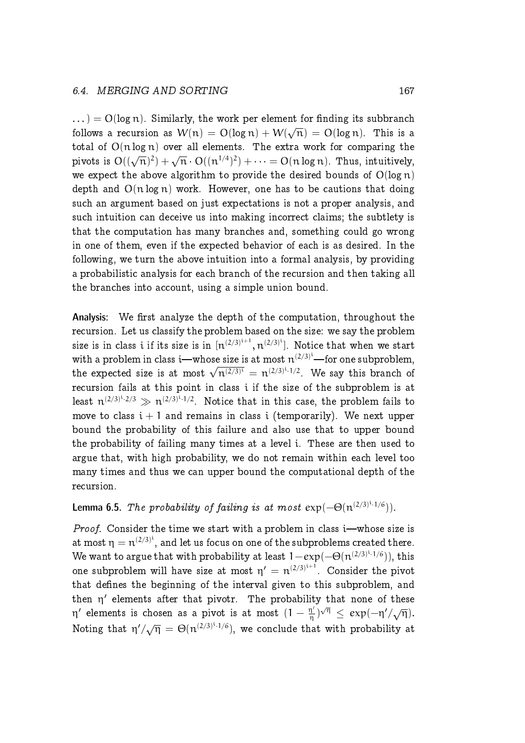$\ldots$ ) = O(log n). Similarly, the work per element for finding its subbranch follows a recursion as  $W(n) = O(\log n) + W(\sqrt{n}) = O(\log n)$ . This is a total of  $O(n \log n)$  over all elements. The extra work for comparing the pivots is  $O((\sqrt{n})^2) + \sqrt{n} \cdot O((n^{1/4})^2) + \cdots = O(n \log n)$ . Thus, intuitively, we expect the above algorithm to provide the desired bounds of  $O(\log n)$ depth and  $O(n \log n)$  work. However, one has to be cautions that doing such an argument based on just expectations is not a proper analysis, and such intuition can deceive us into making incorrect claims; the subtlety is that the computation has many branches and, something could go wrong in one of them, even if the expected behavior of each is as desired. In the following, we turn the above intuition into a formal analysis, by providing a probabilistic analysis for each branch of the recursion and then taking all the branches into account, using a simple union bound.

Analysis: We first analyze the depth of the computation, throughout the recursion. Let us classify the problem based on the size: we say the problem size is in class  $\mathfrak i$  if its size is in  $[n^{(2/3)^{\mathfrak i+1}},n^{(2/3)^{\mathfrak i}}].$  Notice that when we start with a problem in class i—whose size is at most  $n^{(2/3)^i}$ —for one subproblem, the expected size is at most  $\sqrt{n^{(2/3)^{i}}} = n^{(2/3)^{i} \cdot 1/2}$ . We say this branch of recursion fails at this point in class i if the size of the subproblem is at least  $n^{(2/3)^{i} \cdot 2/3} \gg n^{(2/3)^{i} \cdot 1/2}$ . Notice that in this case, the problem fails to move to class  $i + 1$  and remains in class i (temporarily). We next upper bound the probability of this failure and also use that to upper bound the probability of failing many times at a level i. These are then used to argue that, with high probability, we do not remain within each level too many times and thus we can upper bound the computational depth of the recursion.

#### **Lemma 6.5.** The probability of failing is at most  $exp(-\Theta(n^{(2/3)^{i} \cdot 1/6}))$ .

*Proof.* Consider the time we start with a problem in class  $i$ —whose size is at most  $\eta = \mathfrak{n}^{(2/3)^{\mathfrak i}},$  and let us focus on one of the subproblems created there. We want to argue that with probability at least  $1 - exp(-\Theta(n^{(2/3)^i \cdot 1/6}))$ , this one subproblem will have size at most  $\eta' = n^{(2/3)^{i+1}}.$  Consider the pivot that defines the beginning of the interval given to this subproblem, and then  $\eta'$  elements after that pivotr. The probability that none of these η' elements is chosen as a pivot is at most  $(1-\frac{\eta'}{n})$  $(\frac{\eta'}{\eta})^{\sqrt{\eta}} \leq \exp(-\eta'/\sqrt{\eta}).$ Noting that  $\eta'/\sqrt{\eta} = \Theta(\eta^{(2/3)^{i-1/6}})$ , we conclude that with probability at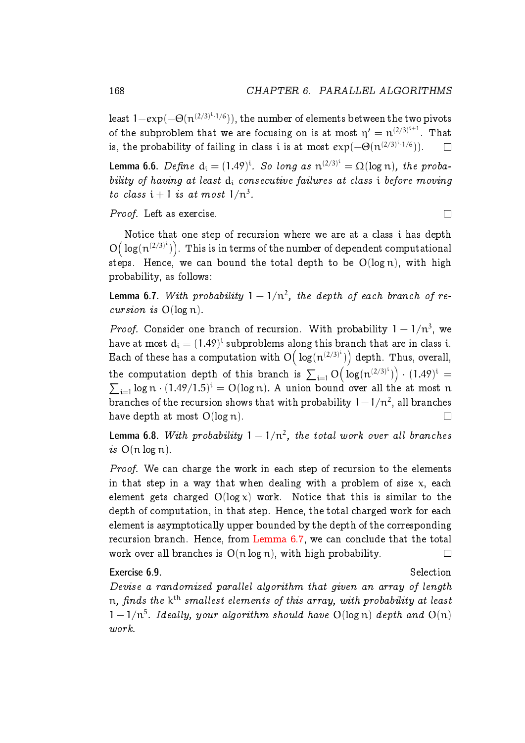least  $1{-}e{\rm x}p(-\Theta(n^{(2/3)^i\cdot1/6})),$  the number of elements between the two pivots of the subproblem that we are focusing on is at most  $\eta' = n^{(2/3)^{i+1}}.$  That is, the probability of failing in class  $\mathfrak i$  is at most  $\exp(-\Theta(\mathfrak n^{(2/3)^{\mathfrak i}\cdot 1/6})).$  $\Box$ 

**Lemma 6.6.** Define  $d_i = (1.49)^i$ . So long as  $n^{(2/3)^i} = \Omega(\log n)$ , the probability of having at least  $d_i$  consecutive failures at class i before moving to class  $i + 1$  is at most  $1/n^3$ .

Proof. Left as exercise.

Notice that one step of recursion where we are at a class i has depth  $O\big(\log(n^{(2/3)^i})\big)$ . This is in terms of the number of dependent computational steps. Hence, we can bound the total depth to be  $O(log n)$ , with high probability, as follows:

<span id="page-23-0"></span>**Lemma 6.7.** With probability  $1 - 1/n^2$ , the depth of each branch of recursion is  $O(log n)$ .

*Proof.* Consider one branch of recursion. With probability  $1 - 1/n^3$ , we have at most  $\rm d_{i} = (1.49)^{i}$  subproblems along this branch that are in class  $i.$ Each of these has a computation with  $\mathrm{O}\big(\log(\mathfrak{n}^{(2/3)^{i}})\big)$  depth. Thus, overall, the computation depth of this branch is  $\sum_{i=1} O\Big(\log(n^{(2/3)^i})\Big) \cdot (1.49)^i =$  $\sum_{i=1}$  log n  $\cdot$  (1.49/1.5)<sup>i</sup> = O(log n). A union bound over all the at most n branches of the recursion shows that with probability  $1 - 1/n^2$ , all branches have depth at most  $O(\log n)$ .  $\Box$ 

**Lemma 6.8.** With probability  $1 - 1/n^2$ , the total work over all branches is  $O(n \log n)$ .

Proof. We can charge the work in each step of recursion to the elements in that step in a way that when dealing with a problem of size  $x$ , each element gets charged  $O(log x)$  work. Notice that this is similar to the depth of computation, in that step. Hence, the total charged work for each element is asymptotically upper bounded by the depth of the corresponding recursion branch. Hence, from [Lemma 6.7,](#page-23-0) we can conclude that the total work over all branches is  $O(n \log n)$ , with high probability.  $\Box$ 

#### Exercise 6.9. Selection

Devise a randomized parallel algorithm that given an array of length  $\mathfrak n$ , finds the  $\mathsf k^{\mathsf {th}}$  smallest elements of this array, with probability at least  $1-1/n^5$ . Ideally, your algorithm should have  $O(log n)$  depth and  $O(n)$ work.

 $\Box$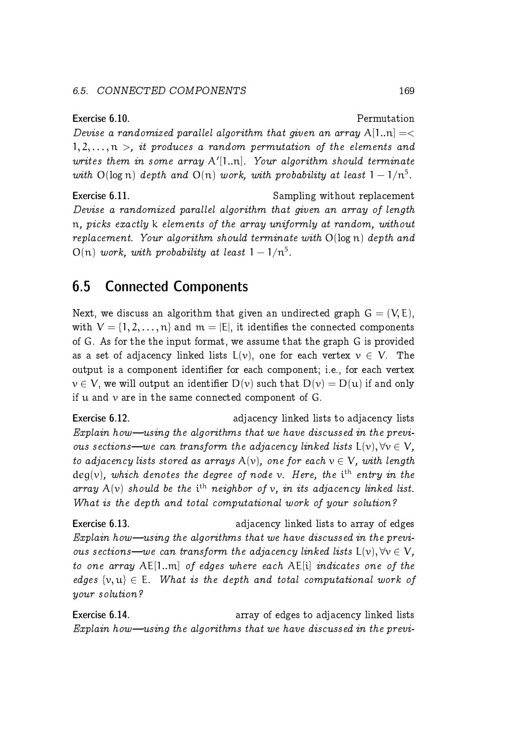#### 6.5. CONNECTED COMPONENTS 169

Exercise 6.10. Permutation Devise a randomized parallel algorithm that given an array  $A[1..n] = \langle$  $1, 2, \ldots, n > i$  it produces a random permutation of the elements and writes them in some array  $A'[1..n]$ . Your algorithm should terminate with  $O(log n)$  depth and  $O(n)$  work, with probability at least  $1 - 1/n^5$ .

Exercise 6.11. Sampling without replacement Devise a randomized parallel algorithm that given an array of length n, picks exactly k elements of the array uniformly at random, without replacement. Your algorithm should terminate with  $O(\log n)$  depth and  $O(n)$  work, with probability at least  $1 - 1/n^5$ .

# <span id="page-24-0"></span>6.5 Connected Components

Next, we discuss an algorithm that given an undirected graph  $G = (V, E)$ , with  $V = \{1, 2, ..., n\}$  and  $m = |E|$ , it identifies the connected components of G. As for the the input format, we assume that the graph G is provided as a set of adjacency linked lists  $L(v)$ , one for each vertex  $v \in V$ . The output is a component identifier for each component; i.e., for each vertex  $v \in V$ , we will output an identifier  $D(v)$  such that  $D(v) = D(u)$  if and only if  $u$  and  $v$  are in the same connected component of  $G$ .

**Exercise 6.12. Exercise 6.12. adjacency linked lists to adjacency lists** Explain how-using the algorithms that we have discussed in the previous sections—we can transform the adjacency linked lists  $L(v)$ ,  $\forall v \in V$ , to adjacency lists stored as arrays  $A(v)$ , one for each  $v \in V$ , with length  $deg(v)$ , which denotes the degree of node v. Here, the i<sup>th</sup> entry in the array  $A(v)$  should be the i<sup>th</sup> neighbor of v, in its adjacency linked list. What is the depth and total computational work of your solution?

**Exercise 6.13. Exercise 6.13. adjacency linked lists to array of edges** Explain how—using the algorithms that we have discussed in the previous sections—we can transform the adjacency linked lists  $L(v)$ ,  $\forall v \in V$ , to one array AE[1..m] of edges where each AE[i] indicates one of the edges  $\{v, u\} \in E$ . What is the depth and total computational work of your solution?

Exercise 6.14. **Exercise 6.14. array of edges to adjacency linked lists** Explain how—using the algorithms that we have discussed in the previ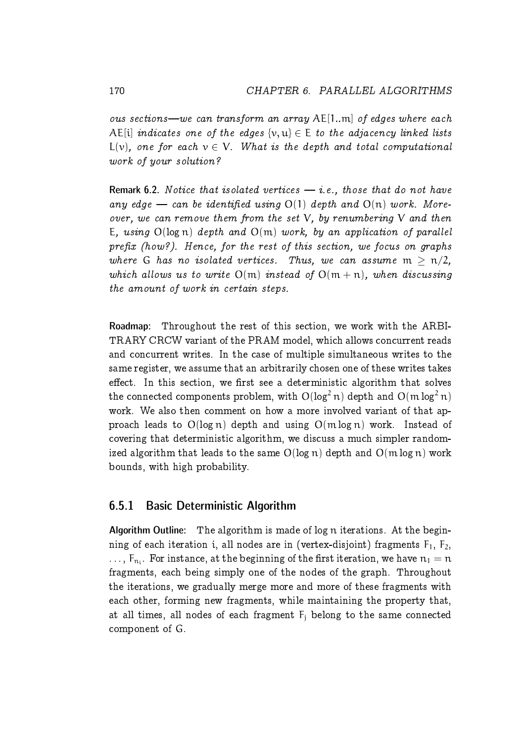ous sections—we can transform an array  $A \in [1..m]$  of edges where each AE[i] indicates one of the edges  $\{v, u\} \in E$  to the adjacency linked lists  $L(\nu)$ , one for each  $\nu \in V$ . What is the depth and total computational work of your solution?

Remark 6.2. Notice that isolated vertices  $-$  *i.e.*, those that do not have any edge – can be identified using  $O(1)$  depth and  $O(n)$  work. Moreover, we can remove them from the set  $V$ , by renumbering  $V$  and then E, using  $O(log n)$  depth and  $O(m)$  work, by an application of parallel  $prefix$  (how?). Hence, for the rest of this section, we focus on graphs where G has no isolated vertices. Thus, we can assume  $m > n/2$ , which allows us to write  $O(m)$  instead of  $O(m + n)$ , when discussing the amount of work in certain steps.

Roadmap: Throughout the rest of this section, we work with the ARBI-TRARY CRCW variant of the PRAM model, which allows concurrent reads and concurrent writes. In the case of multiple simultaneous writes to the same register, we assume that an arbitrarily chosen one of these writes takes effect. In this section, we first see a deterministic algorithm that solves the connected components problem, with  $O(log^2 n)$  depth and  $O(m log^2 n)$ work. We also then comment on how a more involved variant of that approach leads to  $O(log n)$  depth and using  $O(m \log n)$  work. Instead of covering that deterministic algorithm, we discuss a much simpler randomized algorithm that leads to the same  $O(log n)$  depth and  $O(m log n)$  work bounds, with high probability.

#### <span id="page-25-0"></span>6.5.1 Basic Deterministic Algorithm

Algorithm Outline: The algorithm is made of log n iterations. At the beginning of each iteration i, all nodes are in (vertex-disjoint) fragments  $F_1$ ,  $F_2$ ,  $\dots$ ,  $\boldsymbol{\mathsf{F}}_{\textup{n}_i}$ . For instance, at the beginning of the first iteration, we have  $\boldsymbol{\mathsf{n}}_1=\boldsymbol{\mathsf{n}}$ fragments, each being simply one of the nodes of the graph. Throughout the iterations, we gradually merge more and more of these fragments with each other, forming new fragments, while maintaining the property that, at all times, all nodes of each fragment  $F_i$  belong to the same connected component of G.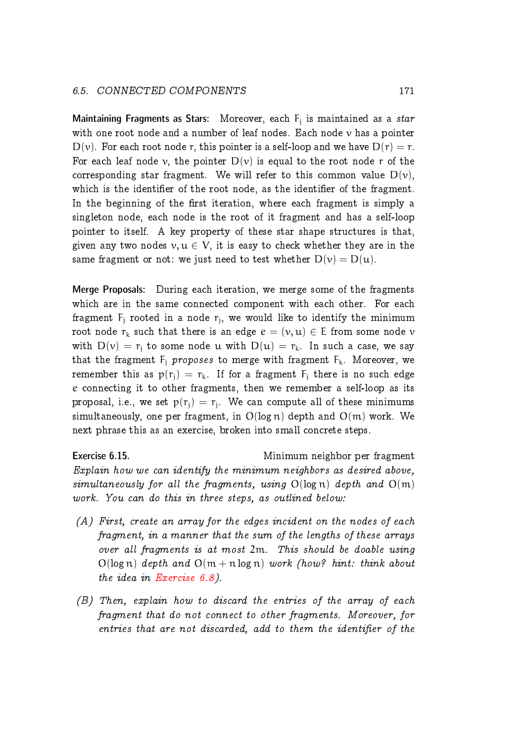#### 6.5. CONNECTED COMPONENTS 171

Maintaining Fragments as Stars: Moreover, each  $\mathsf{F}_\mathsf{j}$  is maintained as a  $star$ with one root node and a number of leaf nodes. Each node  $\nu$  has a pointer  $D(v)$ . For each root node r, this pointer is a self-loop and we have  $D(r) = r$ . For each leaf node v, the pointer  $D(v)$  is equal to the root node r of the corresponding star fragment. We will refer to this common value  $D(v)$ , which is the identifier of the root node, as the identifier of the fragment. In the beginning of the first iteration, where each fragment is simply a singleton node, each node is the root of it fragment and has a self-loop pointer to itself. A key property of these star shape structures is that, given any two nodes  $v, u \in V$ , it is easy to check whether they are in the same fragment or not: we just need to test whether  $D(v) = D(u)$ .

Merge Proposals: During each iteration, we merge some of the fragments which are in the same connected component with each other. For each fragment  $F_j$  rooted in a node  $r_j$ , we would like to identify the minimum root node  $r_k$  such that there is an edge  $e = (v, u) \in E$  from some node v with  $D(v) = r_i$  to some node u with  $D(u) = r_k$ . In such a case, we say that the fragment  $F_j$  proposes to merge with fragment  $F_k$ . Moreover, we remember this as  $p(r_i) = r_k$ . If for a fragment  $F_i$  there is no such edge e connecting it to other fragments, then we remember a self-loop as its proposal, i.e., we set  $p(r_j) = r_j$ . We can compute all of these minimums simultaneously, one per fragment, in  $O(log n)$  depth and  $O(m)$  work. We next phrase this as an exercise, broken into small concrete steps.

Exercise 6.15. Minimum neighbor per fragment Explain how we can identify the minimum neighbors as desired above, simultaneously for all the fragments, using  $O(log n)$  depth and  $O(m)$ work. You can do this in three steps, as outlined below:

- (A) First, create an array for the edges incident on the nodes of each fragment, in a manner that the sum of the lengths of these arrays over all fragments is at most 2m. This should be doable using  $O(log n)$  depth and  $O(m + n log n)$  work (how? hint: think about the idea in [Exercise 6.8\)](#page-21-1).
- (B) Then, explain how to discard the entries of the array of each fragment that do not connect to other fragments. Moreover, for entries that are not discarded, add to them the identifier of the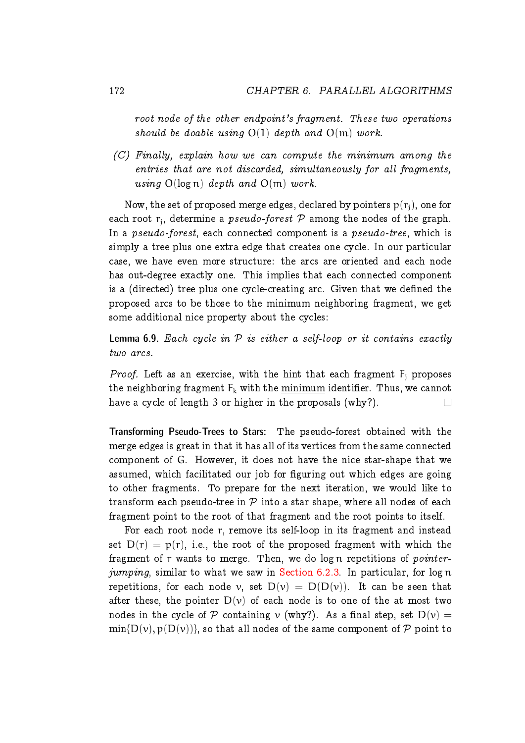root node of the other endpoint's fragment. These two operations should be doable using  $O(1)$  depth and  $O(m)$  work.

 $(C)$  Finally, explain how we can compute the minimum among the entries that are not discarded, simultaneously for all fragments, using  $O(log n)$  depth and  $O(m)$  work.

Now, the set of proposed merge edges, declared by pointers  $p(r_i)$ , one for each root  $r_j$ , determine a  $pseudo\emph{-}forest$   ${\cal P}$  among the nodes of the graph. In a *pseudo-forest*, each connected component is a *pseudo-tree*, which is simply a tree plus one extra edge that creates one cycle. In our particular case, we have even more structure: the arcs are oriented and each node has out-degree exactly one. This implies that each connected component is a (directed) tree plus one cycle-creating arc. Given that we defined the proposed arcs to be those to the minimum neighboring fragment, we get some additional nice property about the cycles:

**Lemma 6.9.** Each cycle in  $P$  is either a self-loop or it contains exactly two arcs.

*Proof.* Left as an exercise, with the hint that each fragment  $F_i$  proposes the neighboring fragment  $F_k$  with the minimum identifier. Thus, we cannot have a cycle of length 3 or higher in the proposals (why?).  $\Box$ 

Transforming Pseudo-Trees to Stars: The pseudo-forest obtained with the merge edges is great in that it has all of its vertices from the same connected component of G. However, it does not have the nice star-shape that we assumed, which facilitated our job for figuring out which edges are going to other fragments. To prepare for the next iteration, we would like to transform each pseudo-tree in  $\mathcal P$  into a star shape, where all nodes of each fragment point to the root of that fragment and the root points to itself.

For each root node r, remove its self-loop in its fragment and instead set  $D(r) = p(r)$ , i.e., the root of the proposed fragment with which the fragment of r wants to merge. Then, we do log n repetitions of pointer-jumping, similar to what we saw in [Section 6.2.3.](#page-7-0) In particular, for log  $n$ repetitions, for each node v, set  $D(v) = D(D(v))$ . It can be seen that after these, the pointer  $D(v)$  of each node is to one of the at most two nodes in the cycle of P containing  $\nu$  (why?). As a final step, set  $D(\nu) =$  $\min\{D(v), p(D(v))\}$ , so that all nodes of the same component of P point to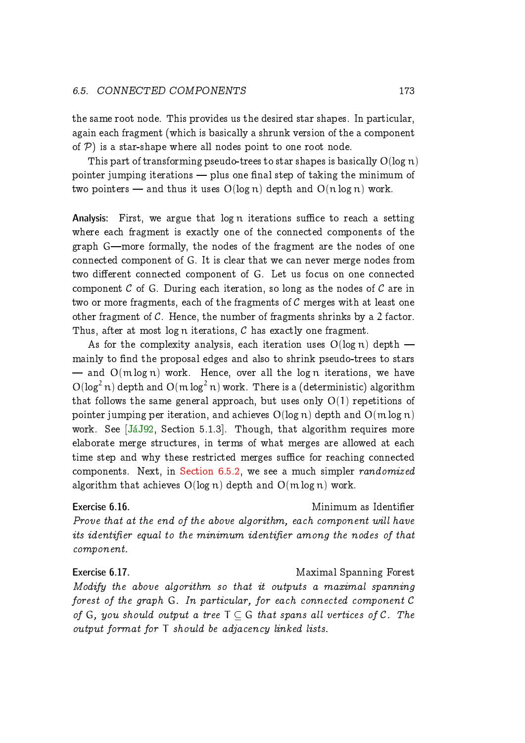#### 6.5. CONNECTED COMPONENTS 173

the same root node. This provides us the desired star shapes. In particular, again each fragment (which is basically a shrunk version of the a component of  $P$ ) is a star-shape where all nodes point to one root node.

This part of transforming pseudo-trees to star shapes is basically  $O(\log n)$ pointer jumping iterations  $-$  plus one final step of taking the minimum of two pointers — and thus it uses  $O(log n)$  depth and  $O(n log n)$  work.

Analysis: First, we argue that  $log n$  iterations suffice to reach a setting where each fragment is exactly one of the connected components of the graph G—more formally, the nodes of the fragment are the nodes of one connected component of G. It is clear that we can never merge nodes from two different connected component of G. Let us focus on one connected component  $C$  of G. During each iteration, so long as the nodes of  $C$  are in two or more fragments, each of the fragments of  $C$  merges with at least one other fragment of  $C$ . Hence, the number of fragments shrinks by a 2 factor. Thus, after at most log n iterations,  $C$  has exactly one fragment.

As for the complexity analysis, each iteration uses  $O(log n)$  depth  $$ mainly to find the proposal edges and also to shrink pseudo-trees to stars  $-$  and  $O(m \log n)$  work. Hence, over all the log n iterations, we have  $O(log<sup>2</sup> n)$  depth and  $O(m log<sup>2</sup> n)$  work. There is a (deterministic) algorithm that follows the same general approach, but uses only  $O(1)$  repetitions of pointer jumping per iteration, and achieves  $O(log n)$  depth and  $O(m log n)$ work. See [JáJ92, Section 5.1.3]. Though, that algorithm requires more elaborate merge structures, in terms of what merges are allowed at each time step and why these restricted merges suffice for reaching connected components. Next, in [Section 6.5.2,](#page-29-0) we see a much simpler randomized algorithm that achieves  $O(log n)$  depth and  $O(m log n)$  work.

Exercise 6.16. Minimum as Identier

Prove that at the end of the above algorithm, each component will have its identifier equal to the minimum identifier among the nodes of that component.

Exercise 6.17. The Exercise 6.17. Modify the above algorithm so that it outputs a maximal spanning forest of the graph G. In particular, for each connected component C of G, you should output a tree  $T \subset G$  that spans all vertices of C. The output format for T should be adjacency linked lists.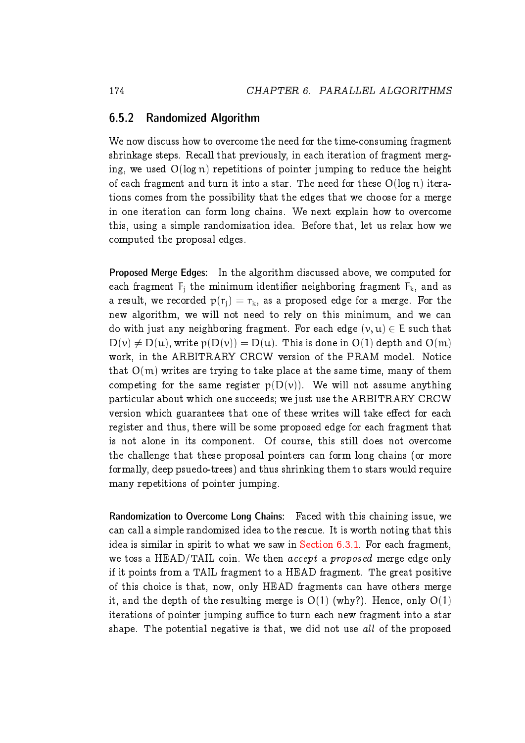#### <span id="page-29-0"></span>6.5.2 Randomized Algorithm

We now discuss how to overcome the need for the time-consuming fragment shrinkage steps. Recall that previously, in each iteration of fragment merging, we used  $O(\log n)$  repetitions of pointer jumping to reduce the height of each fragment and turn it into a star. The need for these  $O(log n)$  iterations comes from the possibility that the edges that we choose for a merge in one iteration can form long chains. We next explain how to overcome this, using a simple randomization idea. Before that, let us relax how we computed the proposal edges.

Proposed Merge Edges: In the algorithm discussed above, we computed for each fragment  $F_i$  the minimum identifier neighboring fragment  $F_k$ , and as a result, we recorded  $p(r_i) = r_k$ , as a proposed edge for a merge. For the new algorithm, we will not need to rely on this minimum, and we can do with just any neighboring fragment. For each edge  $(v, u) \in E$  such that  $D(v) \neq D(u)$ , write  $p(D(v)) = D(u)$ . This is done in  $O(1)$  depth and  $O(m)$ work, in the ARBITRARY CRCW version of the PRAM model. Notice that  $O(m)$  writes are trying to take place at the same time, many of them competing for the same register  $p(D(v))$ . We will not assume anything particular about which one succeeds; we just use the ARBITRARY CRCW version which guarantees that one of these writes will take effect for each register and thus, there will be some proposed edge for each fragment that is not alone in its component. Of course, this still does not overcome the challenge that these proposal pointers can form long chains (or more formally, deep psuedo-trees) and thus shrinking them to stars would require many repetitions of pointer jumping.

Randomization to Overcome Long Chains: Faced with this chaining issue, we can call a simple randomized idea to the rescue. It is worth noting that this idea is similar in spirit to what we saw in [Section 6.3.1.](#page-10-1) For each fragment, we toss a HEAD/TAIL coin. We then accept a proposed merge edge only if it points from a TAIL fragment to a HEAD fragment. The great positive of this choice is that, now, only HEAD fragments can have others merge it, and the depth of the resulting merge is  $O(1)$  (why?). Hence, only  $O(1)$ iterations of pointer jumping suffice to turn each new fragment into a star shape. The potential negative is that, we did not use all of the proposed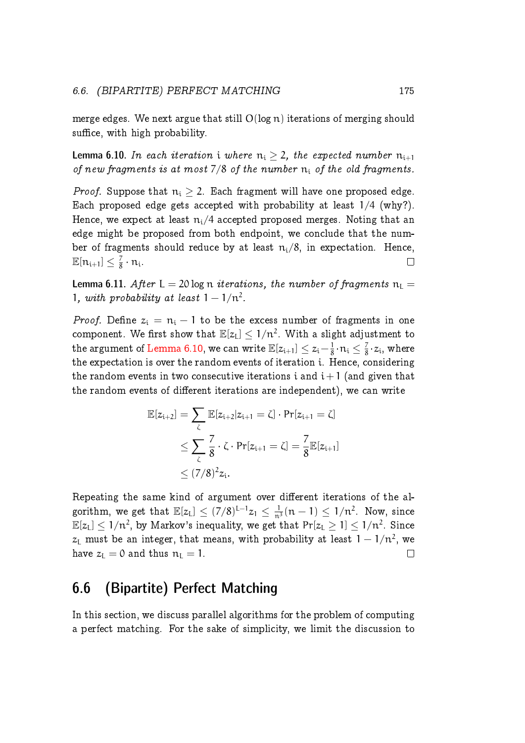merge edges. We next argue that still  $O(log n)$  iterations of merging should suffice, with high probability.

<span id="page-30-1"></span>**Lemma 6.10.** In each iteration i where  $n_i \geq 2$ , the expected number  $n_{i+1}$ of new fragments is at most  $7/8$  of the number  $n_i$  of the old fragments.

*Proof.* Suppose that  $n_i > 2$ . Each fragment will have one proposed edge. Each proposed edge gets accepted with probability at least 1/4 (why?). Hence, we expect at least  $n_i/4$  accepted proposed merges. Noting that an edge might be proposed from both endpoint, we conclude that the number of fragments should reduce by at least  $n_i/8$ , in expectation. Hence,  $\mathbb{E}[\mathfrak{n}_{\mathfrak{i}+1}] \leq \frac{7}{8}$  $\frac{7}{8} \cdot n_i$ .  $\Box$ 

**Lemma 6.11.** After  $L = 20 \log n$  iterations, the number of fragments  $n_L =$ 1, with probability at least  $1 - 1/n^2$ .

*Proof.* Define  $z_i = n_i - 1$  to be the excess number of fragments in one component. We first show that  $\mathbb{E}[z_L] \leq 1/n^2$ . With a slight adjustment to the argument of [Lemma 6.10,](#page-30-1) we can write  $\mathbb{E}[z_{\mathfrak{i}+1}] \leq z_{\mathfrak{i}} - \frac{1}{8}$  $\frac{1}{8} \cdot n_i \leq \frac{7}{8}$  $\frac{7}{8} \cdot z_i$ , where the expectation is over the random events of iteration i. Hence, considering the random events in two consecutive iterations i and  $i+1$  (and given that the random events of different iterations are independent), we can write

$$
\mathbb{E}[z_{i+2}] = \sum_{\zeta} \mathbb{E}[z_{i+2}|z_{i+1} = \zeta] \cdot \Pr[z_{i+1} = \zeta]
$$
  

$$
\leq \sum_{\zeta} \frac{7}{8} \cdot \zeta \cdot \Pr[z_{i+1} = \zeta] = \frac{7}{8} \mathbb{E}[z_{i+1}]
$$
  

$$
\leq (7/8)^2 z_i.
$$

Repeating the same kind of argument over different iterations of the algorithm, we get that  $\mathbb{E}[z_L] \leq (7/8)^{L-1} z_1 \leq \frac{1}{n^3}(n-1) \leq 1/n^2$ . Now, since  $\mathbb{E}[z_L] \leq 1/n^2$ , by Markov's inequality, we get that  $\Pr[z_L \geq 1] \leq 1/n^2$ . Since  $z_\mathsf{L}$  must be an integer, that means, with probability at least  $1-1/n^2$ , we have  $z_L = 0$  and thus  $n_L = 1$ .  $\Box$ 

# <span id="page-30-0"></span>6.6 (Bipartite) Perfect Matching

In this section, we discuss parallel algorithms for the problem of computing a perfect matching. For the sake of simplicity, we limit the discussion to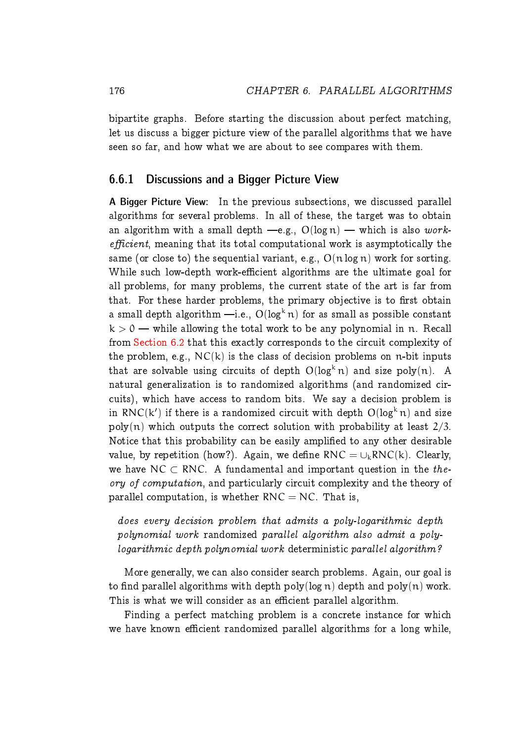bipartite graphs. Before starting the discussion about perfect matching, let us discuss a bigger picture view of the parallel algorithms that we have seen so far, and how what we are about to see compares with them.

#### <span id="page-31-0"></span>6.6.1 Discussions and a Bigger Picture View

A Bigger Picture View: In the previous subsections, we discussed parallel algorithms for several problems. In all of these, the target was to obtain an algorithm with a small depth  $-e.g., O(log n)$  — which is also work $efficient$ , meaning that its total computational work is asymptotically the same (or close to) the sequential variant, e.g.,  $O(n \log n)$  work for sorting. While such low-depth work-efficient algorithms are the ultimate goal for all problems, for many problems, the current state of the art is far from that. For these harder problems, the primary objective is to first obtain a small depth algorithm  $-i.e., O(log<sup>k</sup> n)$  for as small as possible constant  $k > 0$  — while allowing the total work to be any polynomial in n. Recall from [Section 6.2](#page-5-0) that this exactly corresponds to the circuit complexity of the problem, e.g.,  $NC(k)$  is the class of decision problems on n-bit inputs that are solvable using circuits of depth  $O(log^{k} n)$  and size poly $(n)$ . A natural generalization is to randomized algorithms (and randomized circuits), which have access to random bits. We say a decision problem is in RNC(k') if there is a randomized circuit with depth  $O(\log^k n)$  and size  $poly(n)$  which outputs the correct solution with probability at least  $2/3$ . Notice that this probability can be easily amplified to any other desirable value, by repetition (how?). Again, we define RNC =  $\cup_k RNC(k)$ . Clearly, we have NC  $\subset$  RNC. A fundamental and important question in the theory of computation, and particularly circuit complexity and the theory of parallel computation, is whether  $RNC = NC$ . That is,

does every decision problem that admits a poly-logarithmic depth polynomial work randomized parallel algorithm also admit a polylogarithmic depth polynomial work deterministic parallel algorithm?

More generally, we can also consider search problems. Again, our goal is to find parallel algorithms with depth poly(log n) depth and poly(n) work. This is what we will consider as an efficient parallel algorithm.

Finding a perfect matching problem is a concrete instance for which we have known efficient randomized parallel algorithms for a long while,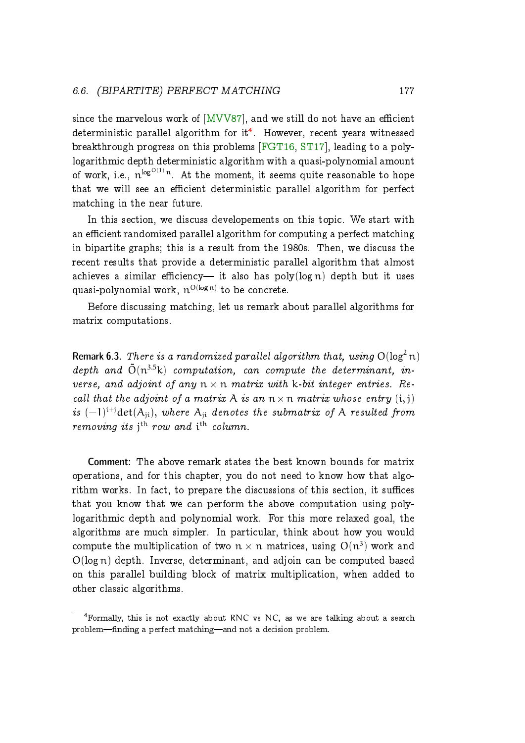since the marvelous work of  $[MVV87]$ , and we still do not have an efficient deterministic parallel algorithm for it $^4$  $^4$ . However, recent years witnessed breakthrough progress on this problems [\[FGT16,](#page-56-2) [ST17\]](#page-57-4), leading to a polylogarithmic depth deterministic algorithm with a quasi-polynomial amount of work, i.e.,  $\mathfrak{n}^{\log^{O(1)}n}.$  At the moment, it seems quite reasonable to hope that we will see an efficient deterministic parallel algorithm for perfect matching in the near future.

In this section, we discuss developements on this topic. We start with an efficient randomized parallel algorithm for computing a perfect matching in bipartite graphs; this is a result from the 1980s. Then, we discuss the recent results that provide a deterministic parallel algorithm that almost achieves a similar efficiency— it also has  $poly(log n)$  depth but it uses quasi-polynomial work,  $\mathfrak{n}^{\text{O(log}\,\mathfrak{n})}$  to be concrete.

Before discussing matching, let us remark about parallel algorithms for matrix computations.

<span id="page-32-1"></span>**Remark 6.3.** There is a randomized parallel algorithm that, using  $O(log^2 n)$ depth and  $\tilde{O}(n^{3.5}k)$  computation, can compute the determinant, inverse, and adjoint of any  $n \times n$  matrix with k-bit integer entries. Recall that the adjoint of a matrix A is an  $n \times n$  matrix whose entry  $(i, j)$ is  $(-1)^{i+j}$ det $(A_{ji})$ , where  $A_{ji}$  denotes the submatrix of A resulted from removing its  $j<sup>th</sup>$  row and  $i<sup>th</sup>$  column.

Comment: The above remark states the best known bounds for matrix operations, and for this chapter, you do not need to know how that algorithm works. In fact, to prepare the discussions of this section, it suffices that you know that we can perform the above computation using polylogarithmic depth and polynomial work. For this more relaxed goal, the algorithms are much simpler. In particular, think about how you would compute the multiplication of two  $n \times n$  matrices, using  $O(n^3)$  work and O(log n) depth. Inverse, determinant, and adjoin can be computed based on this parallel building block of matrix multiplication, when added to other classic algorithms.

<span id="page-32-0"></span><sup>4</sup>Formally, this is not exactly about RNC vs NC, as we are talking about a search problem—finding a perfect matching—and not a decision problem.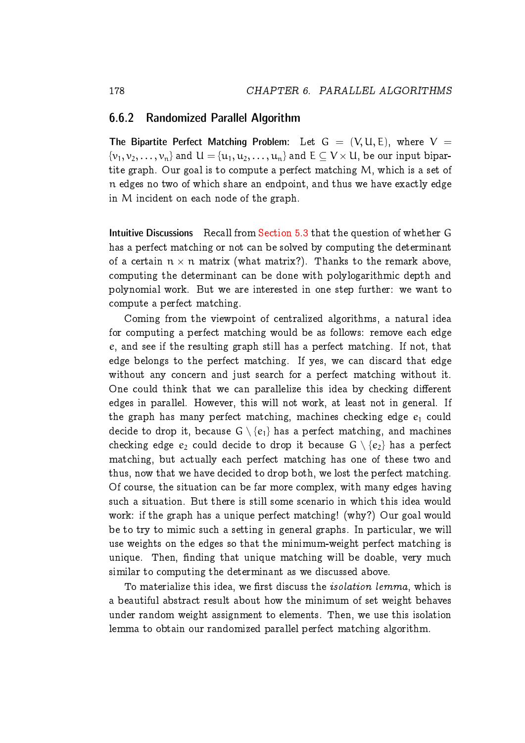#### <span id="page-33-0"></span>6.6.2 Randomized Parallel Algorithm

The Bipartite Perfect Matching Problem: Let  $G = (V, U, E)$ , where  $V =$  $\{\nu_1,\nu_2,\ldots,\nu_n\}$  and  $\mathsf{U}=\{\mathfrak{u}_1,\mathfrak{u}_2,\ldots,\mathfrak{u}_n\}$  and  $\mathsf{E}\subseteq \mathsf{V}\times \mathsf{U},$  be our input bipartite graph. Our goal is to compute a perfect matching M, which is a set of n edges no two of which share an endpoint, and thus we have exactly edge in M incident on each node of the graph.

Intuitive Discussions Recall from [Section 5.3](#page--1-0) that the question of whether G has a perfect matching or not can be solved by computing the determinant of a certain  $n \times n$  matrix (what matrix?). Thanks to the remark above, computing the determinant can be done with polylogarithmic depth and polynomial work. But we are interested in one step further: we want to compute a perfect matching.

Coming from the viewpoint of centralized algorithms, a natural idea for computing a perfect matching would be as follows: remove each edge e, and see if the resulting graph still has a perfect matching. If not, that edge belongs to the perfect matching. If yes, we can discard that edge without any concern and just search for a perfect matching without it. One could think that we can parallelize this idea by checking different edges in parallel. However, this will not work, at least not in general. If the graph has many perfect matching, machines checking edge  $e_1$  could decide to drop it, because  $G \setminus \{e_1\}$  has a perfect matching, and machines checking edge  $e_2$  could decide to drop it because  $G \setminus \{e_2\}$  has a perfect matching, but actually each perfect matching has one of these two and thus, now that we have decided to drop both, we lost the perfect matching. Of course, the situation can be far more complex, with many edges having such a situation. But there is still some scenario in which this idea would work: if the graph has a unique perfect matching! (why?) Our goal would be to try to mimic such a setting in general graphs. In particular, we will use weights on the edges so that the minimum-weight perfect matching is unique. Then, finding that unique matching will be doable, very much similar to computing the determinant as we discussed above.

<span id="page-33-1"></span>To materialize this idea, we first discuss the *isolation lemma*, which is a beautiful abstract result about how the minimum of set weight behaves under random weight assignment to elements. Then, we use this isolation lemma to obtain our randomized parallel perfect matching algorithm.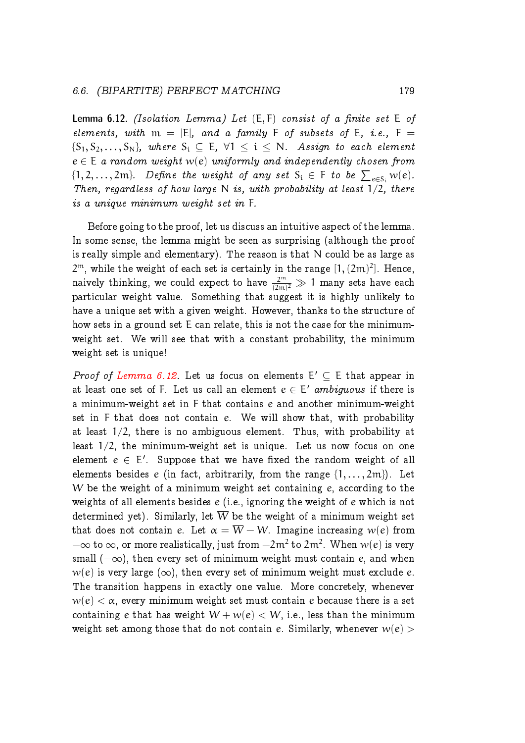**Lemma 6.12.** (Isolation Lemma) Let  $(E, F)$  consist of a finite set  $E$  of elements, with  $m = |E|$ , and a family F of subsets of E, i.e., F =  $\{S_1, S_2, \ldots, S_N\}$ , where  $S_i \subset E$ ,  $\forall 1 \leq i \leq N$ . Assign to each element  $e \in E$  a random weight w(e) uniformly and independently chosen from  $\{1, 2, \ldots, 2m\}$ . Define the weight of any set  $S_i \in F$  to be  $\sum_{e \in S_i} w(e)$ . Then, regardless of how large N is, with probability at least  $1/2$ , there is a unique minimum weight set in F.

Before going to the proof, let us discuss an intuitive aspect of the lemma. In some sense, the lemma might be seen as surprising (although the proof is really simple and elementary). The reason is that N could be as large as  $2^{\mathfrak{m}},$  while the weight of each set is certainly in the range  $[1,(2\mathfrak{m})^2].$  Hence, naively thinking, we could expect to have  $\frac{2^m}{(2m)^2}\gg 1$  many sets have each particular weight value. Something that suggest it is highly unlikely to have a unique set with a given weight. However, thanks to the structure of how sets in a ground set E can relate, this is not the case for the minimumweight set. We will see that with a constant probability, the minimum weight set is unique!

*Proof of [Lemma 6.12.](#page-33-1)* Let us focus on elements  $E' \subseteq E$  that appear in at least one set of F. Let us call an element  $e \in E'$  *ambiguous* if there is a minimum-weight set in F that contains e and another minimum-weight set in F that does not contain e. We will show that, with probability at least 1/2, there is no ambiguous element. Thus, with probability at least 1/2, the minimum-weight set is unique. Let us now focus on one element  $e \in E'$ . Suppose that we have fixed the random weight of all elements besides e (in fact, arbitrarily, from the range  $\{1, \ldots, 2m\}$ ). Let W be the weight of a minimum weight set containing e, according to the weights of all elements besides e (i.e., ignoring the weight of e which is not determined yet). Similarly, let  $\overline{W}$  be the weight of a minimum weight set that does not contain e. Let  $\alpha = \overline{W} - W$ . Imagine increasing w(e) from  $-\infty$  to  $\infty$ , or more realistically, just from  $-2m^2$  to  $2m^2$ . When  $w(e)$  is very small  $(-\infty)$ , then every set of minimum weight must contain e, and when  $w(e)$  is very large  $(\infty)$ , then every set of minimum weight must exclude e. The transition happens in exactly one value. More concretely, whenever  $w(e) < \alpha$ , every minimum weight set must contain e because there is a set containing e that has weight  $W + w(e) < \overline{W}$ , i.e., less than the minimum weight set among those that do not contain e. Similarly, whenever  $w(e)$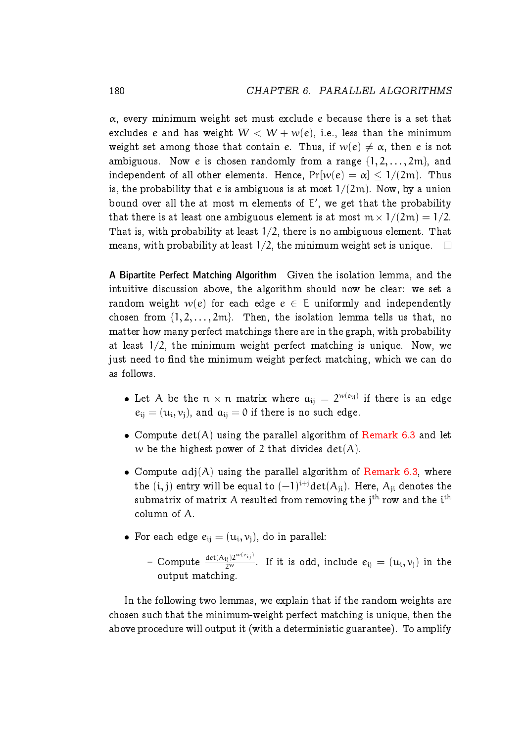$\alpha$ , every minimum weight set must exclude e because there is a set that excludes e and has weight  $\overline{W} < W + w(e)$ , i.e., less than the minimum weight set among those that contain e. Thus, if  $w(e) \neq \alpha$ , then e is not ambiguous. Now e is chosen randomly from a range  $\{1, 2, \ldots, 2m\}$ , and independent of all other elements. Hence,  $Pr[w(e) = \alpha] \le 1/(2m)$ . Thus is, the probability that e is ambiguous is at most  $1/(2m)$ . Now, by a union bound over all the at most  $m$  elements of  $E'$ , we get that the probability that there is at least one ambiguous element is at most  $m \times 1/(2m) = 1/2$ . That is, with probability at least  $1/2$ , there is no ambiguous element. That means, with probability at least  $1/2$ , the minimum weight set is unique.  $\Box$ 

A Bipartite Perfect Matching Algorithm Given the isolation lemma, and the intuitive discussion above, the algorithm should now be clear: we set a random weight  $w(e)$  for each edge  $e \in E$  uniformly and independently chosen from  $\{1, 2, \ldots, 2m\}$ . Then, the isolation lemma tells us that, no matter how many perfect matchings there are in the graph, with probability at least  $1/2$ , the minimum weight perfect matching is unique. Now, we just need to find the minimum weight perfect matching, which we can do as follows.

- Let A be the  $n \times n$  matrix where  $a_{ij} = 2^{w(e_{ij})}$  if there is an edge  $e_{ij} = (u_i, v_j)$ , and  $a_{ij} = 0$  if there is no such edge.
- Compute  $det(A)$  using the parallel algorithm of [Remark 6.3](#page-32-1) and let w be the highest power of 2 that divides  $det(A)$ .
- Compute  $adj(A)$  using the parallel algorithm of [Remark 6.3,](#page-32-1) where the  $(\mathfrak{i},\mathfrak{j})$  entry will be equal to  $(-1)^{\mathfrak{i}+\mathfrak{j}}\mathrm{det}( \mathsf{A}_{\mathfrak{j}\mathfrak{i}}).$  Here,  $\mathsf{A}_{\mathfrak{j}\mathfrak{i}}$  denotes the submatrix of matrix A resulted from removing the  $\mathfrak{j}^{\text{th}}$  row and the  $\mathfrak{i}^{\text{th}}$ column of A.
- For each edge  $e_{ij} = (u_i, v_j)$ , do in parallel:
	- Compute  $\frac{\det(A_{ij})2^{w(e_{ij})}}{2^w}$ . If it is odd, include  $e_{ij} = (u_i, v_j)$  in the output matching.

In the following two lemmas, we explain that if the random weights are chosen such that the minimum-weight perfect matching is unique, then the above procedure will output it (with a deterministic guarantee). To amplify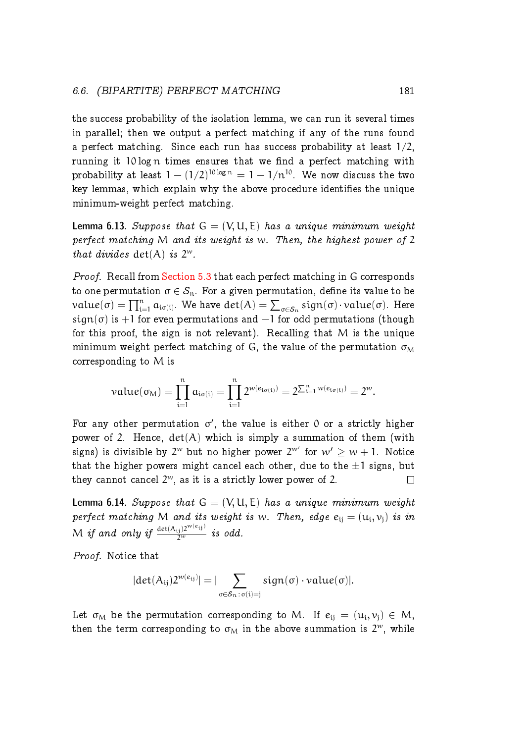#### 6.6. (BIPARTITE) PERFECT MATCHING 181

the success probability of the isolation lemma, we can run it several times in parallel; then we output a perfect matching if any of the runs found a perfect matching. Since each run has success probability at least  $1/2$ , running it 10 log n times ensures that we find a perfect matching with probability at least  $1 - (1/2)^{10 \log n} = 1 - 1/n^{10}$ . We now discuss the two key lemmas, which explain why the above procedure identifies the unique minimum-weight perfect matching.

**Lemma 6.13.** Suppose that  $G = (V, U, E)$  has a unique minimum weight perfect matching M and its weight is w. Then, the highest power of 2 that divides  $det(A)$  is  $2^w$ .

Proof. Recall from [Section 5.3](#page--1-0) that each perfect matching in G corresponds to one permutation  $\sigma \in \mathcal{S}_n$ . For a given permutation, define its value to be  $value(\sigma) = \prod_{i=1}^n a_{i\sigma(i)}$ . We have  $det(A) = \sum_{\sigma \in \mathcal{S}_n} sign(\sigma) \cdot value(\sigma)$ . Here sign( $\sigma$ ) is +1 for even permutations and -1 for odd permutations (though for this proof, the sign is not relevant). Recalling that M is the unique minimum weight perfect matching of G, the value of the permutation  $\sigma_M$ corresponding to M is

$$
value(\sigma_M) = \prod_{i=1}^n a_{i\sigma(i)} = \prod_{i=1}^n 2^{w(e_{i\sigma(i)})} = 2^{\sum_{i=1}^n w(e_{i\sigma(i)})} = 2^w.
$$

For any other permutation  $\sigma'$ , the value is either 0 or a strictly higher power of 2. Hence,  $det(A)$  which is simply a summation of them (with signs) is divisible by  $2^w$  but no higher power  $2^{w'}$  for  $w' \geq w + 1$ . Notice that the higher powers might cancel each other, due to the  $\pm 1$  signs, but they cannot cancel  $2^w$ , as it is a strictly lower power of 2. they cannot cancel  $2^w$ , as it is a strictly lower power of 2.

**Lemma 6.14.** Suppose that  $G = (V, U, E)$  has a unique minimum weight perfect matching M and its weight is w. Then, edge  $e_{ij} = (u_i, v_j)$  is in  $M$  if and only if  $\frac{\det({\rm A_{ij}})2^{{\rm w}(e_{ij})}}{2^{\rm w}}$  is odd.

Proof. Notice that

$$
|det(A_{ij})2^{w(e_{ij})}|=|\sum_{\sigma\in\mathcal{S}_n\,:\,\sigma(i)=j}sign(\sigma)\cdot value(\sigma)|.
$$

Let  $\sigma_\mathcal{M}$  be the permutation corresponding to M. If  $e_{ij} = (\mathfrak{u}_i, \mathfrak{v}_j) \in M$ , then the term corresponding to  $\sigma_M$  in the above summation is  $2^w$ , while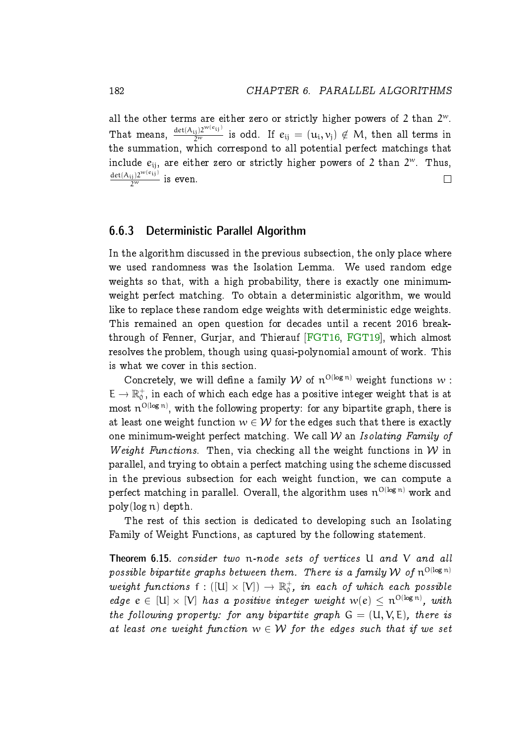all the other terms are either zero or strictly higher powers of 2 than  $2^w$ . That means,  $\frac{\det(A_{ij})2^{w(e_{ij})}}{2^w}$  is odd. If  $e_{ij}=(u_i,v_j)\notin M,$  then all terms in the summation, which correspond to all potential perfect matchings that include  $e_{\mathfrak i\mathfrak j}$ , are either zero or strictly higher powers of 2 than  $2^w$ . Thus,  $\frac{\det(A_{ij})2^{w(e_{ij})}}{2^w}$  is even.  $\Box$ 

#### <span id="page-37-0"></span>6.6.3 Deterministic Parallel Algorithm

In the algorithm discussed in the previous subsection, the only place where we used randomness was the Isolation Lemma. We used random edge weights so that, with a high probability, there is exactly one minimumweight perfect matching. To obtain a deterministic algorithm, we would like to replace these random edge weights with deterministic edge weights. This remained an open question for decades until a recent 2016 breakthrough of Fenner, Gurjar, and Thierauf [\[FGT16,](#page-56-2) [FGT19\]](#page-56-3), which almost resolves the problem, though using quasi-polynomial amount of work. This is what we cover in this section.

Concretely, we will define a family  $W$  of  $n^{O(log n)}$  weight functions  $w$ :  $E \to \mathbb{R}_0^+$ , in each of which each edge has a positive integer weight that is at most  $\mathfrak{n}^{\rm O(\log n)},$  with the following property: for any bipartite graph, there is at least one weight function  $w \in \mathcal{W}$  for the edges such that there is exactly one minimum-weight perfect matching. We call  $W$  an *Isolating Family of* Weight Functions. Then, via checking all the weight functions in  $W$  in parallel, and trying to obtain a perfect matching using the scheme discussed in the previous subsection for each weight function, we can compute a perfect matching in parallel. Overall, the algorithm uses  $\mathfrak{n}^{\text{O(log}\,\mathfrak{n})}$  work and poly(log n) depth.

The rest of this section is dedicated to developing such an Isolating Family of Weight Functions, as captured by the following statement.

<span id="page-37-1"></span>Theorem 6.15. consider two n-node sets of vertices U and V and all possible bipartite graphs between them. There is a family  $\mathcal W$  of  $\mathfrak n^{O(\log n)}$ weight functions  $f : ([U] \times [V]) \to \mathbb{R}^+_0$ , in each of which each possible edge  $e \in [U] \times [V]$  has a positive integer weight  $w(e) \leq n^{O(\log n)}$ , with the following property: for any bipartite graph  $G = (U, V, E)$ , there is at least one weight function  $w \in \mathcal{W}$  for the edges such that if we set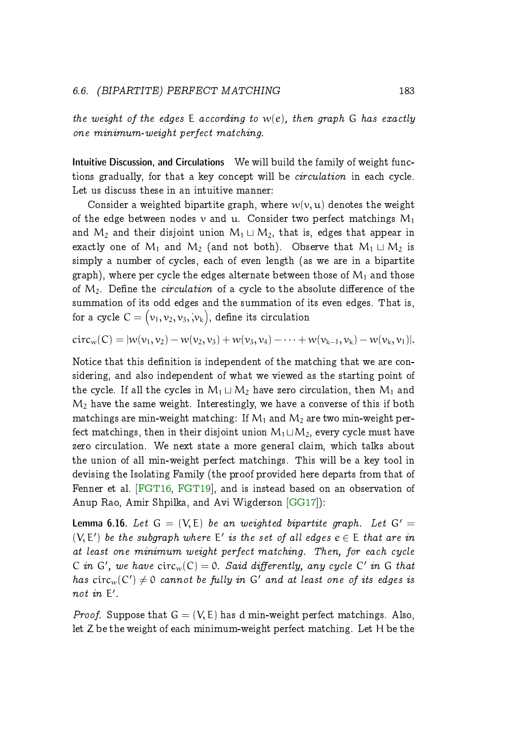#### 6.6. (BIPARTITE) PERFECT MATCHING 183

the weight of the edges E according to  $w(e)$ , then graph G has exactly one minimum-weight perfect matching.

Intuitive Discussion, and Circulations We will build the family of weight functions gradually, for that a key concept will be circulation in each cycle. Let us discuss these in an intuitive manner:

Consider a weighted bipartite graph, where  $w(v, u)$  denotes the weight of the edge between nodes v and u. Consider two perfect matchings  $M_1$ and  $M_2$  and their disjoint union  $M_1 \sqcup M_2$ , that is, edges that appear in exactly one of  $M_1$  and  $M_2$  (and not both). Observe that  $M_1 \sqcup M_2$  is simply a number of cycles, each of even length (as we are in a bipartite graph), where per cycle the edges alternate between those of  $M_1$  and those of  $M_2$ . Define the *circulation* of a cycle to the absolute difference of the summation of its odd edges and the summation of its even edges. That is, for a cycle  $\mathsf{C}=(\mathsf{v}_1,\mathsf{v}_2,\mathsf{v}_3,\mathsf{v}_\mathsf{k}) ,$  define its circulation

 $circ_w(C) = |w(v_1, v_2) - w(v_2, v_3) + w(v_3, v_4) - \cdots + w(v_{k-1}, v_k) - w(v_k, v_1)|.$ 

Notice that this definition is independent of the matching that we are considering, and also independent of what we viewed as the starting point of the cycle. If all the cycles in  $M_1 \sqcup M_2$  have zero circulation, then  $M_1$  and  $M_2$  have the same weight. Interestingly, we have a converse of this if both matchings are min-weight matching: If  $M_1$  and  $M_2$  are two min-weight perfect matchings, then in their disjoint union  $M_1 \sqcup M_2$ , every cycle must have zero circulation. We next state a more general claim, which talks about the union of all min-weight perfect matchings. This will be a key tool in devising the Isolating Family (the proof provided here departs from that of Fenner et al. [\[FGT16,](#page-56-2) [FGT19\]](#page-56-3), and is instead based on an observation of Anup Rao, Amir Shpilka, and Avi Wigderson [\[GG17\]](#page-56-4)):

<span id="page-38-0"></span>**Lemma 6.16.** Let  $G = (V, E)$  be an weighted bipartite graph. Let  $G' =$  $(V, E')$  be the subgraph where  $E'$  is the set of all edges  $e \in E$  that are in at least one minimum weight perfect matching. Then, for each cycle C in G', we have  $circ_w(C) = 0$ . Said differently, any cycle C' in G that has  $circ_w(C') \neq 0$  cannot be fully in G' and at least one of its edges is not in  $E'$ .

*Proof.* Suppose that  $G = (V, E)$  has d min-weight perfect matchings. Also, let Z be the weight of each minimum-weight perfect matching. Let H be the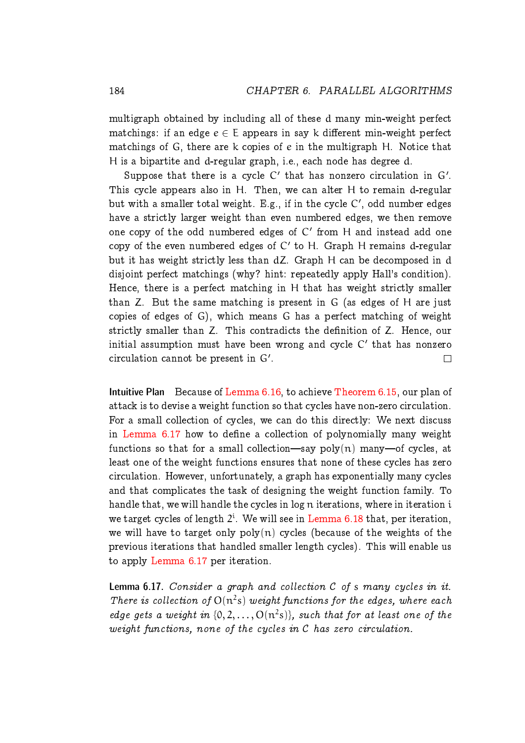multigraph obtained by including all of these d many min-weight perfect matchings: if an edge  $e \in E$  appears in say k different min-weight perfect matchings of G, there are k copies of e in the multigraph H. Notice that H is a bipartite and d-regular graph, i.e., each node has degree d.

Suppose that there is a cycle  $C'$  that has nonzero circulation in  $G'$ . This cycle appears also in H. Then, we can alter H to remain d-regular but with a smaller total weight. E.g., if in the cycle  $C'$ , odd number edges have a strictly larger weight than even numbered edges, we then remove one copy of the odd numbered edges of  $\mathsf{C}'$  from H and instead add one copy of the even numbered edges of  $\mathsf{C}'$  to H. Graph H remains d-regular but it has weight strictly less than dZ. Graph H can be decomposed in d disjoint perfect matchings (why? hint: repeatedly apply Hall's condition). Hence, there is a perfect matching in H that has weight strictly smaller than Z. But the same matching is present in G (as edges of H are just copies of edges of G), which means G has a perfect matching of weight strictly smaller than Z. This contradicts the definition of Z. Hence, our initial assumption must have been wrong and cycle  $\mathsf{C}'$  that has nonzero circulation cannot be present in  $G'$ .  $\Box$ 

Intuitive Plan Because of [Lemma 6.16,](#page-38-0) to achieve [Theorem 6.15,](#page-37-1) our plan of attack is to devise a weight function so that cycles have non-zero circulation. For a small collection of cycles, we can do this directly: We next discuss in [Lemma 6.17](#page-39-0) how to define a collection of polynomially many weight functions so that for a small collection—say  $poly(n)$  many—of cycles, at least one of the weight functions ensures that none of these cycles has zero circulation. However, unfortunately, a graph has exponentially many cycles and that complicates the task of designing the weight function family. To handle that, we will handle the cycles in log n iterations, where in iteration i we target cycles of length  $2^i$ . We will see in [Lemma 6.18](#page-41-0) that, per iteration, we will have to target only  $poly(n)$  cycles (because of the weights of the previous iterations that handled smaller length cycles). This will enable us to apply [Lemma 6.17](#page-39-0) per iteration.

<span id="page-39-0"></span>**Lemma 6.17.** Consider a graph and collection  $C$  of  $s$  many cycles in it. There is collection of  $O(n^2s)$  weight functions for the edges, where each edge gets a weight in  $\{0, 2, ..., O(n^2s)\}\$ , such that for at least one of the weight functions, none of the cycles in C has zero circulation.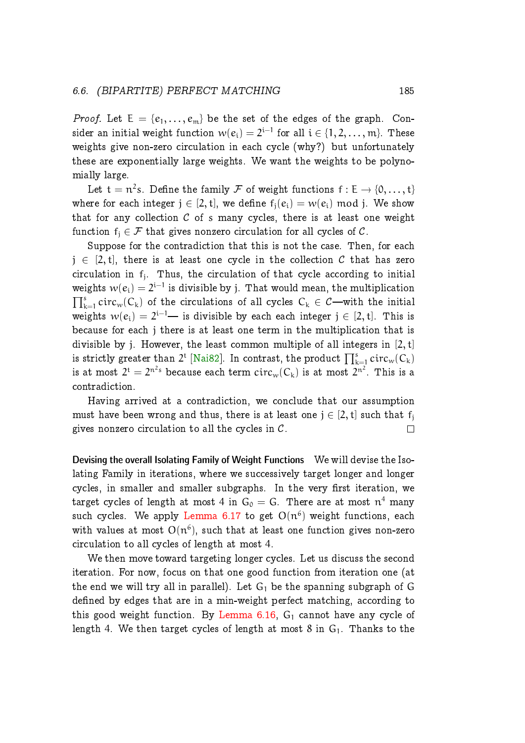#### 6.6. (BIPARTITE) PERFECT MATCHING 185

*Proof.* Let  $E = \{e_1, \ldots, e_m\}$  be the set of the edges of the graph. Consider an initial weight function  $w(e_i) = 2^{i-1}$  for all  $i \in \{1, 2, ..., m\}$ . These weights give non-zero circulation in each cycle (why?) but unfortunately these are exponentially large weights. We want the weights to be polynomially large.

Let  $t = n^2 s$ . Define the family  $\mathcal F$  of weight functions  $f : E \to \{0, \ldots, t\}$ where for each integer  $j \in [2, t]$ , we define  $f_i(e_i) = w(e_i) \mod j$ . We show that for any collection  $C$  of s many cycles, there is at least one weight function  $f_i \in \mathcal{F}$  that gives nonzero circulation for all cycles of C.

Suppose for the contradiction that this is not the case. Then, for each  $j \in [2, t]$ , there is at least one cycle in the collection C that has zero circulation in  $f_j$ . Thus, the circulation of that cycle according to initial weights  $w(e_i) = 2^{i-1}$  is divisible by j. That would mean, the multiplication  $\prod_{k=1}^{s} circ_w(C_k)$  of the circulations of all cycles  $C_k \in \mathcal{C}$ —with the initial weights  $w(e_i) = 2^{i-1}$ — is divisible by each each integer  $j \in [2, t]$ . This is because for each j there is at least one term in the multiplication that is divisible by j. However, the least common multiple of all integers in  $[2, t]$ is strictly greater than  $2^{\text{t}}$  [\[Nai82\]](#page-57-5). In contrast, the product  $\prod_{\text{k=1}}^{\text{s}}\text{circ}_{\text{w}}(\textsf{C}_{\text{k}})$ is at most  $2^{\text{t}} = 2^{\text{n}^2\text{s}}$  because each term  $\text{circ}_\text{w}(\text{C}_\text{k})$  is at most  $2^{\text{n}^2}.$  This is a contradiction.

Having arrived at a contradiction, we conclude that our assumption must have been wrong and thus, there is at least one  $j \in [2, t]$  such that  $f_j$  gives nonzero circulation to all the cycles in C. gives nonzero circulation to all the cycles in  $C$ .

Devising the overall Isolating Family of Weight Functions We will devise the Isolating Family in iterations, where we successively target longer and longer cycles, in smaller and smaller subgraphs. In the very first iteration, we target cycles of length at most 4 in  $\mathsf{G_0}=\mathsf{G.}$  There are at most  $\mathfrak{n}^4$  many such cycles. We apply [Lemma 6.17](#page-39-0) to get  $O(n^6)$  weight functions, each with values at most  $O(n^6)$ , such that at least one function gives non-zero circulation to all cycles of length at most 4.

We then move toward targeting longer cycles. Let us discuss the second iteration. For now, focus on that one good function from iteration one (at the end we will try all in parallel). Let  $G_1$  be the spanning subgraph of G defined by edges that are in a min-weight perfect matching, according to this good weight function. By Lemma  $6.16$ ,  $G_1$  cannot have any cycle of length 4. We then target cycles of length at most  $8$  in  $G_1$ . Thanks to the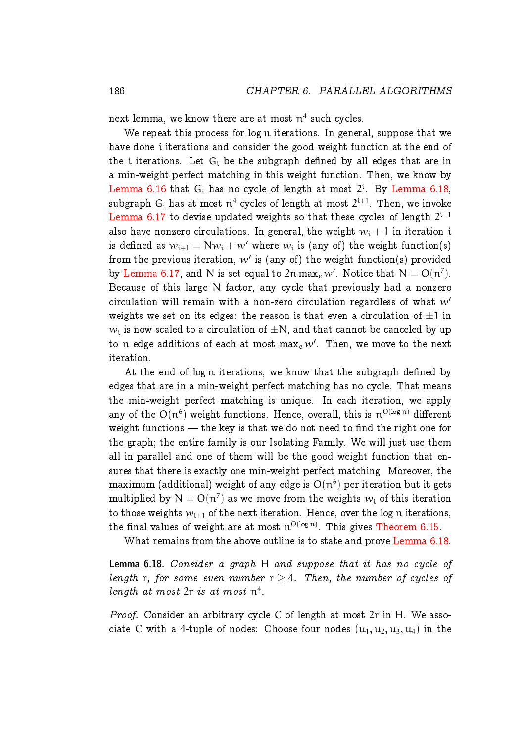next lemma, we know there are at most  $\mathfrak{n}^4$  such cycles.

We repeat this process for log n iterations. In general, suppose that we have done i iterations and consider the good weight function at the end of the i iterations. Let  $G_i$  be the subgraph defined by all edges that are in a min-weight perfect matching in this weight function. Then, we know by [Lemma 6.16](#page-38-0) that  $G_i$  has no cycle of length at most  $2^i$ . By [Lemma 6.18,](#page-41-0)  $\textsf{subgraph}\,\, \textsf{G}_\mathfrak{i}$  has at most  $\mathfrak{n}^4$  cycles of length at most  $2^{\mathfrak{i}+1}.$  Then, we invoke [Lemma 6.17](#page-39-0) to devise updated weights so that these cycles of length  $2^{\mathrm{i}+1}$ also have nonzero circulations. In general, the weight  $w_i + 1$  in iteration i is defined as  $w_{\mathfrak{i}+1} = \mathsf{N} w_\mathfrak{i} + w'$  where  $w_\mathfrak{i}$  is (any of) the weight function(s) from the previous iteration,  $w'$  is (any of) the weight function(s) provided by [Lemma 6.17,](#page-39-0) and N is set equal to 2n max $_e$  w'. Notice that  $\mathsf{N} = \mathsf{O}(\mathfrak{n}^7).$ Because of this large N factor, any cycle that previously had a nonzero circulation will remain with a non-zero circulation regardless of what  $w'$ weights we set on its edges: the reason is that even a circulation of  $\pm 1$  in  $w_{\rm i}$  is now scaled to a circulation of  $\pm {\rm N},$  and that cannot be canceled by up to  $\bm{{\mathfrak n}}$  edge additions of each at most  $\max_{e}w'$ . Then, we move to the next iteration.

At the end of log n iterations, we know that the subgraph defined by edges that are in a min-weight perfect matching has no cycle. That means the min-weight perfect matching is unique. In each iteration, we apply any of the  $\mathrm{O}(\mathfrak{n}^6)$  weight functions. Hence, overall, this is  $\mathfrak{n}^{\mathrm{O}(\log n)}$  different weight functions  $-$  the key is that we do not need to find the right one for the graph; the entire family is our Isolating Family. We will just use them all in parallel and one of them will be the good weight function that ensures that there is exactly one min-weight perfect matching. Moreover, the maximum (additional) weight of any edge is  $O(n^6)$  per iteration but it gets multiplied by  $\mathsf{N}=\mathsf{O}(\mathfrak{n}^7)$  as we move from the weights  $w_\mathfrak{i}$  of this iteration to those weights  $w_{i+1}$  of the next iteration. Hence, over the log n iterations, the final values of weight are at most  $\mathfrak{n}^{\rm Ollog\, n)}$ . This gives [Theorem 6.15.](#page-37-1)

What remains from the above outline is to state and prove [Lemma 6.18.](#page-41-0)

<span id="page-41-0"></span>Lemma 6.18. Consider a graph H and suppose that it has no cycle of length r, for some even number  $r \geq 4$ . Then, the number of cycles of length at most  $2r$  is at most  $n^4$ .

Proof. Consider an arbitrary cycle C of length at most 2r in H. We associate C with a 4-tuple of nodes: Choose four nodes  $(u_1, u_2, u_3, u_4)$  in the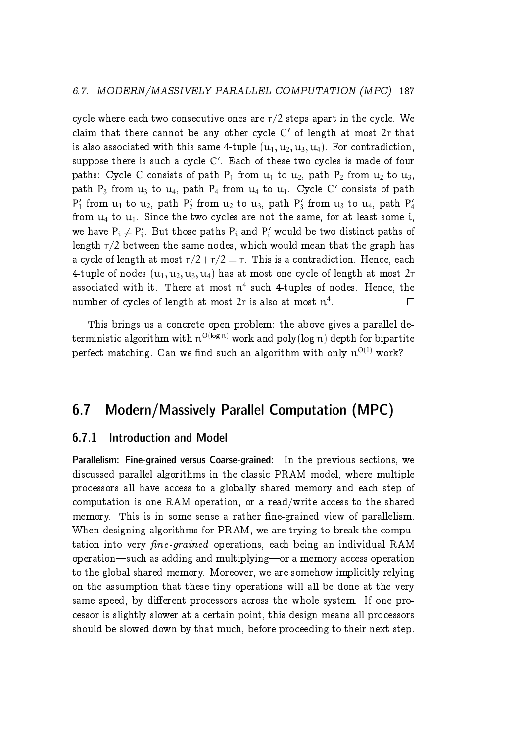cycle where each two consecutive ones are  $r/2$  steps apart in the cycle. We claim that there cannot be any other cycle  $C'$  of length at most  $2r$  that is also associated with this same 4-tuple  $(u_1, u_2, u_3, u_4)$ . For contradiction, suppose there is such a cycle  $\mathsf{C}'$ . Each of these two cycles is made of four paths: Cycle C consists of path  $P_1$  from  $u_1$  to  $u_2$ , path  $P_2$  from  $u_2$  to  $u_3$ , path  $P_3$  from  $u_3$  to  $u_4$ , path  $P_4$  from  $u_4$  to  $u_1$ . Cycle C' consists of path  $P'_1$  from  $u_1$  to  $u_2$ , path  $P'_2$  from  $u_2$  to  $u_3$ , path  $P'_3$  from  $u_3$  to  $u_4$ , path  $P'_4$ from  $u_4$  to  $u_1$ . Since the two cycles are not the same, for at least some i, we have  $P_i \neq P'_i$ . But those paths  $P_i$  and  $P'_i$  would be two distinct paths of length  $r/2$  between the same nodes, which would mean that the graph has a cycle of length at most  $r/2+r/2 = r$ . This is a contradiction. Hence, each 4-tuple of nodes  $(u_1, u_2, u_3, u_4)$  has at most one cycle of length at most  $2r$ associated with it. There at most  $n^4$  such 4-tuples of nodes. Hence, the number of cycles of length at most  $2r$  is also at most  $\mathfrak{n}^4.$  $\Box$ 

This brings us a concrete open problem: the above gives a parallel deterministic algorithm with  $\mathfrak{n}^{\rm O(log\, n)}$  work and  $\rm poly(log\, n)$  depth for bipartite perfect matching. Can we find such an algorithm with only  $\mathfrak{n}^{O(1)}$  work?

# <span id="page-42-0"></span>6.7 Modern/Massively Parallel Computation (MPC)

### <span id="page-42-1"></span>6.7.1 Introduction and Model

Parallelism: Fine-grained versus Coarse-grained: In the previous sections, we discussed parallel algorithms in the classic PRAM model, where multiple processors all have access to a globally shared memory and each step of computation is one RAM operation, or a read/write access to the shared memory. This is in some sense a rather fine-grained view of parallelism. When designing algorithms for PRAM, we are trying to break the computation into very fine-grained operations, each being an individual RAM operation—such as adding and multiplying—or a memory access operation to the global shared memory. Moreover, we are somehow implicitly relying on the assumption that these tiny operations will all be done at the very same speed, by different processors across the whole system. If one processor is slightly slower at a certain point, this design means all processors should be slowed down by that much, before proceeding to their next step.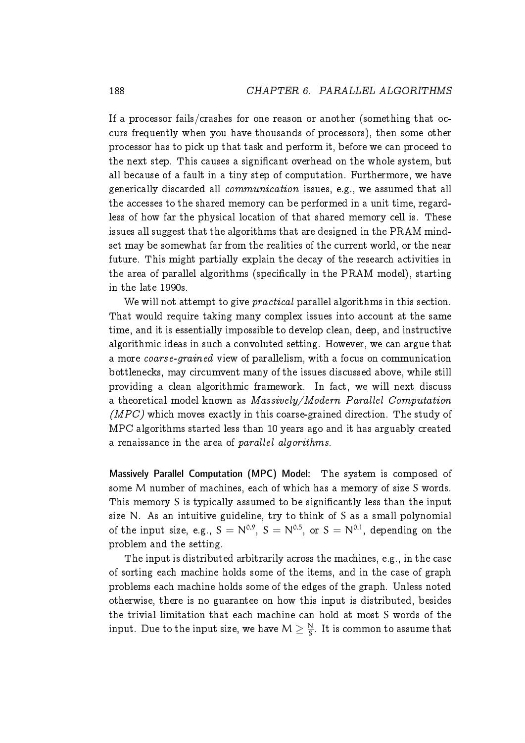If a processor fails/crashes for one reason or another (something that occurs frequently when you have thousands of processors), then some other processor has to pick up that task and perform it, before we can proceed to the next step. This causes a signicant overhead on the whole system, but all because of a fault in a tiny step of computation. Furthermore, we have generically discarded all communication issues, e.g., we assumed that all the accesses to the shared memory can be performed in a unit time, regardless of how far the physical location of that shared memory cell is. These issues all suggest that the algorithms that are designed in the PRAM mindset may be somewhat far from the realities of the current world, or the near future. This might partially explain the decay of the research activities in the area of parallel algorithms (specically in the PRAM model), starting in the late 1990s.

We will not attempt to give *practical* parallel algorithms in this section. That would require taking many complex issues into account at the same time, and it is essentially impossible to develop clean, deep, and instructive algorithmic ideas in such a convoluted setting. However, we can argue that a more coarse-grained view of parallelism, with a focus on communication bottlenecks, may circumvent many of the issues discussed above, while still providing a clean algorithmic framework. In fact, we will next discuss a theoretical model known as Massively/Modern Parallel Computation  $(MPC)$  which moves exactly in this coarse-grained direction. The study of MPC algorithms started less than 10 years ago and it has arguably created a renaissance in the area of parallel algorithms.

Massively Parallel Computation (MPC) Model: The system is composed of some M number of machines, each of which has a memory of size S words. This memory S is typically assumed to be signicantly less than the input size N. As an intuitive guideline, try to think of S as a small polynomial of the input size, e.g.,  $S = N^{0.9}$ ,  $S = N^{0.5}$ , or  $S = N^{0.1}$ , depending on the problem and the setting.

The input is distributed arbitrarily across the machines, e.g., in the case of sorting each machine holds some of the items, and in the case of graph problems each machine holds some of the edges of the graph. Unless noted otherwise, there is no guarantee on how this input is distributed, besides the trivial limitation that each machine can hold at most S words of the input. Due to the input size, we have  $\mathsf{M}\geq \frac{\mathsf{N}}{\mathsf{S}}$  $\frac{N}{S}$ . It is common to assume that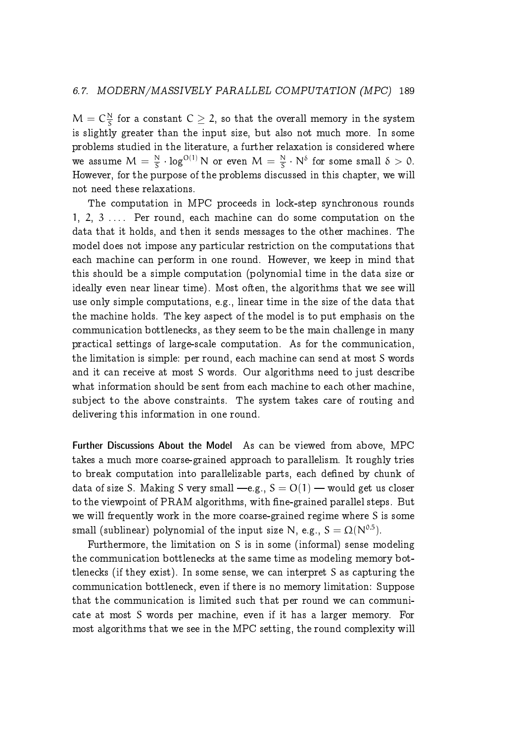$M = C\frac{N}{S}$  $\frac{N}{S}$  for a constant  $C\geq 2$ , so that the overall memory in the system is slightly greater than the input size, but also not much more. In some problems studied in the literature, a further relaxation is considered where we assume  $M = \frac{N}{S}$  $\frac{N}{S} \cdot \log^{O(1)} N$  or even  $M = \frac{N}{S}$  $\frac{N}{S} \cdot N^{\delta}$  for some small  $\delta > 0$ . However, for the purpose of the problems discussed in this chapter, we will not need these relaxations.

The computation in MPC proceeds in lock-step synchronous rounds 1, 2, 3  $\ldots$  Per round, each machine can do some computation on the data that it holds, and then it sends messages to the other machines. The model does not impose any particular restriction on the computations that each machine can perform in one round. However, we keep in mind that this should be a simple computation (polynomial time in the data size or ideally even near linear time). Most often, the algorithms that we see will use only simple computations, e.g., linear time in the size of the data that the machine holds. The key aspect of the model is to put emphasis on the communication bottlenecks, as they seem to be the main challenge in many practical settings of large-scale computation. As for the communication, the limitation is simple: per round, each machine can send at most S words and it can receive at most S words. Our algorithms need to just describe what information should be sent from each machine to each other machine, subject to the above constraints. The system takes care of routing and delivering this information in one round.

Further Discussions About the Model As can be viewed from above, MPC takes a much more coarse-grained approach to parallelism. It roughly tries to break computation into parallelizable parts, each defined by chunk of data of size S. Making S very small -e.g.,  $S = O(1)$  - would get us closer to the viewpoint of PRAM algorithms, with fine-grained parallel steps. But we will frequently work in the more coarse-grained regime where S is some small (sublinear) polynomial of the input size N, e.g.,  $S = \Omega(N^{0.5})$ .

Furthermore, the limitation on S is in some (informal) sense modeling the communication bottlenecks at the same time as modeling memory bottlenecks (if they exist). In some sense, we can interpret S as capturing the communication bottleneck, even if there is no memory limitation: Suppose that the communication is limited such that per round we can communicate at most S words per machine, even if it has a larger memory. For most algorithms that we see in the MPC setting, the round complexity will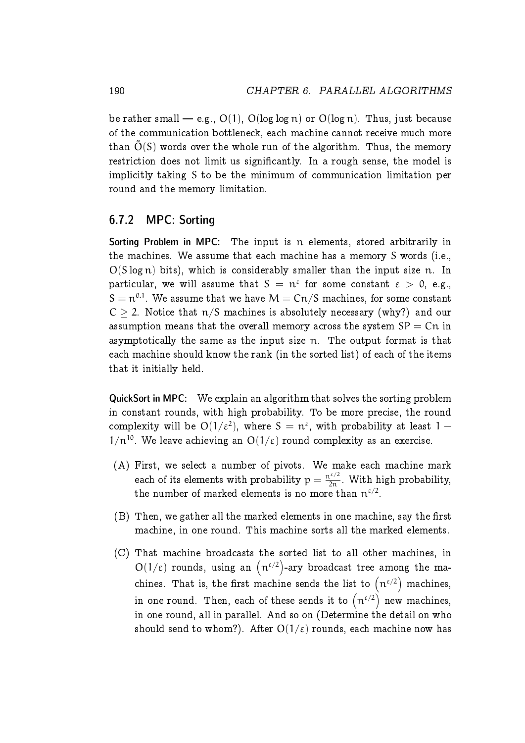be rather small — e.g.,  $O(1)$ ,  $O(log log n)$  or  $O(log n)$ . Thus, just because of the communication bottleneck, each machine cannot receive much more than  $\tilde{O}(S)$  words over the whole run of the algorithm. Thus, the memory restriction does not limit us significantly. In a rough sense, the model is implicitly taking S to be the minimum of communication limitation per round and the memory limitation.

### <span id="page-45-0"></span>6.7.2 MPC: Sorting

Sorting Problem in MPC: The input is n elements, stored arbitrarily in the machines. We assume that each machine has a memory S words (i.e.,  $O(S \log n)$  bits), which is considerably smaller than the input size n. In particular, we will assume that  $S = n^{\varepsilon}$  for some constant  $\varepsilon > 0$ , e.g.,  $\mathcal{S} = \mathfrak{n}^{0.1}.$  We assume that we have  $\mathcal{M} = \mathcal{C} \mathfrak{n} / \mathcal{S}$  machines, for some constant  $C > 2$ . Notice that  $\pi/S$  machines is absolutely necessary (why?) and our assumption means that the overall memory across the system  $SP = Cr$  in asymptotically the same as the input size n. The output format is that each machine should know the rank (in the sorted list) of each of the items that it initially held.

QuickSort in MPC: We explain an algorithm that solves the sorting problem in constant rounds, with high probability. To be more precise, the round complexity will be  ${\rm O}(1/\varepsilon^2)$ , where  ${\rm S} \, = \, {\rm n}^\varepsilon,$  with probability at least  $1 \, 1/n^{10}$ . We leave achieving an  $O(1/\epsilon)$  round complexity as an exercise.

- (A) First, we select a number of pivots. We make each machine mark each of its elements with probability  $p = \frac{n^{\varepsilon/2}}{2n}$ . With high probability, the number of marked elements is no more than  $\mathfrak{n}^{\varepsilon/2}.$
- $(B)$  Then, we gather all the marked elements in one machine, say the first machine, in one round. This machine sorts all the marked elements.
- (C) That machine broadcasts the sorted list to all other machines, in  $O(1/\epsilon)$  rounds, using an  $(n^{\epsilon/2})$ -ary broadcast tree among the machines. That is, the first machine sends the list to  $\left(\mathfrak{n}^{\varepsilon/2}\right)$  machines, in one round. Then, each of these sends it to  $\left( \mathfrak{n}^{\varepsilon / 2} \right)$  new machines, in one round, all in parallel. And so on (Determine the detail on who should send to whom?). After  $O(1/\epsilon)$  rounds, each machine now has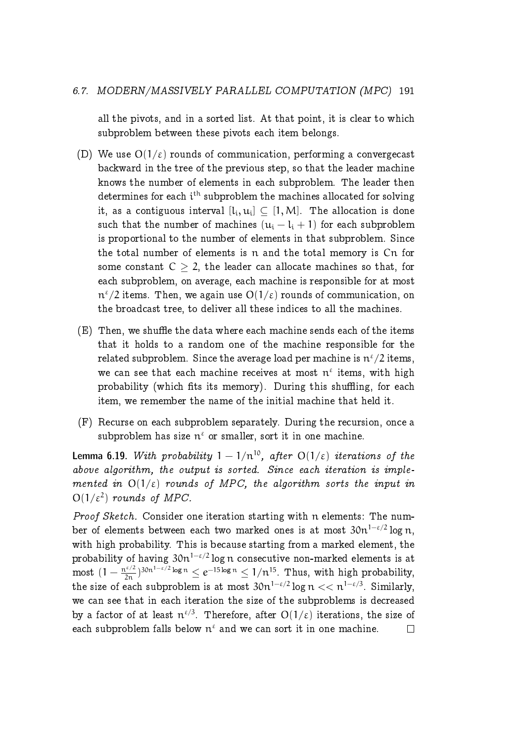#### 6.7. MODERN/MASSIVELY PARALLEL COMPUTATION (MPC) 191

all the pivots, and in a sorted list. At that point, it is clear to which subproblem between these pivots each item belongs.

- (D) We use  $O(1/\epsilon)$  rounds of communication, performing a convergecast backward in the tree of the previous step, so that the leader machine knows the number of elements in each subproblem. The leader then determines for each  $\mathfrak{i}^{\text{th}}$  subproblem the machines allocated for solving it, as a contiguous interval  $[\mathfrak{t}_\mathfrak{i},\mathfrak{u}_\mathfrak{i}]\subseteq [1,\mathsf{M}]$ . The allocation is done such that the number of machines  $(u_i - l_i + 1)$  for each subproblem is proportional to the number of elements in that subproblem. Since the total number of elements is n and the total memory is Cn for some constant  $C \geq 2$ , the leader can allocate machines so that, for each subproblem, on average, each machine is responsible for at most  ${\mathfrak n}^{\mathfrak e}/2$  items. Then, we again use  ${\rm O}(1/\mathfrak e)$  rounds of communication, on the broadcast tree, to deliver all these indices to all the machines.
- $(E)$  Then, we shuffle the data where each machine sends each of the items that it holds to a random one of the machine responsible for the related subproblem. Since the average load per machine is  $\mathfrak{n}^{\varepsilon}/2$  items, we can see that each machine receives at most  $n^{\epsilon}$  items, with high probability (which fits its memory). During this shuffling, for each item, we remember the name of the initial machine that held it.
- (F) Recurse on each subproblem separately. During the recursion, once a  $\text{subproblem}$  has size  $\pi^\varepsilon$  or smaller, sort it in one machine.

Lemma 6.19. With probability  $1 - 1/n^{10}$ , after  $O(1/\varepsilon)$  iterations of the above algorithm, the output is sorted. Since each iteration is implemented in  $O(1/\epsilon)$  rounds of MPC, the algorithm sorts the input in  $O(1/\varepsilon^2)$  rounds of MPC.

Proof Sketch. Consider one iteration starting with n elements: The number of elements between each two marked ones is at most  $30n^{1-\epsilon/2} \log n$ , with high probability. This is because starting from a marked element, the probability of having  $30n^{1-\epsilon/2} \log n$  consecutive non-marked elements is at most  $(1 - \frac{n^{\epsilon/2}}{2n})^{30n^{1-\epsilon/2} \log n} \le e^{-15 \log n} \le 1/n^{15}$ . Thus, with high probability, the size of each subproblem is at most  $30n^{1-\epsilon/2} \log n \ll n^{1-\epsilon/3}$ . Similarly, we can see that in each iteration the size of the subproblems is decreased by a factor of at least  $\pi^{\epsilon/3}$ . Therefore, after  $O(1/\epsilon)$  iterations, the size of each subproblem falls below  $n^{\epsilon}$  and we can sort it in one machine.  $\Box$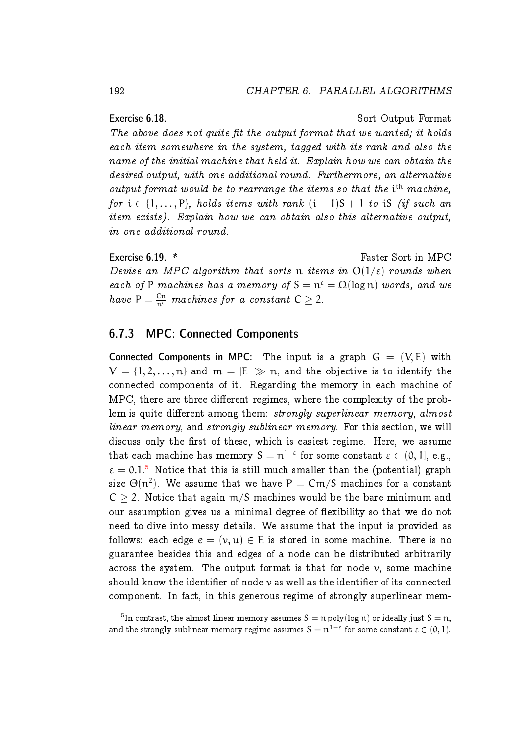Exercise 6.18. Sort Output Format The above does not quite fit the output format that we wanted; it holds each item somewhere in the system, tagged with its rank and also the name of the initial machine that held it. Explain how we can obtain the desired output, with one additional round. Furthermore, an alternative output format would be to rearrange the items so that the  $i<sup>th</sup>$  machine, for  $i \in \{1, ..., P\}$ , holds items with rank  $(i - 1)S + 1$  to iS (if such an item exists). Explain how we can obtain also this alternative output, in one additional round.

Exercise 6.19. \* Faster Sort in MPC Devise an MPC algorithm that sorts n items in  $O(1/\varepsilon)$  rounds when each of P machines has a memory of  $S = n^{\epsilon} = \Omega(\log n)$  words, and we have  $P = \frac{Cn}{n^{\varepsilon}}$  machines for a constant  $C \geq 2$ .

#### <span id="page-47-0"></span>6.7.3 MPC: Connected Components

Connected Components in MPC: The input is a graph  $G = (V, E)$  with  $V = \{1, 2, ..., n\}$  and  $m = |E| \gg n$ , and the objective is to identify the connected components of it. Regarding the memory in each machine of MPC, there are three different regimes, where the complexity of the problem is quite different among them: strongly superlinear memory, almost linear memory, and strongly sublinear memory. For this section, we will discuss only the first of these, which is easiest regime. Here, we assume that each machine has memory  $\mathsf{S} = \mathfrak{n}^{1+\varepsilon}$  for some constant  $\varepsilon \in (0,1]$ , e.g.,  $\varepsilon = 0.1$ .<sup>[5](#page-47-1)</sup> Notice that this is still much smaller than the (potential) graph size  $\Theta(\mathfrak{n}^2).$  We assume that we have  $\mathsf{P}=\mathsf{C}\mathfrak{m}/\mathsf{S}$  machines for a constant  $C > 2$ . Notice that again m/S machines would be the bare minimum and our assumption gives us a minimal degree of flexibility so that we do not need to dive into messy details. We assume that the input is provided as follows: each edge  $e = (v, u) \in E$  is stored in some machine. There is no guarantee besides this and edges of a node can be distributed arbitrarily across the system. The output format is that for node  $\nu$ , some machine should know the identifier of node  $\nu$  as well as the identifier of its connected component. In fact, in this generous regime of strongly superlinear mem-

<span id="page-47-1"></span> $^{5}$ In contrast, the almost linear memory assumes  $\rm{S} = n$  poly $(\rm{log}\,n)$  or ideally just  $\rm{S} = n,$ and the strongly sublinear memory regime assumes  $S = n^{1-\varepsilon}$  for some constant  $\varepsilon \in (0,1)$ .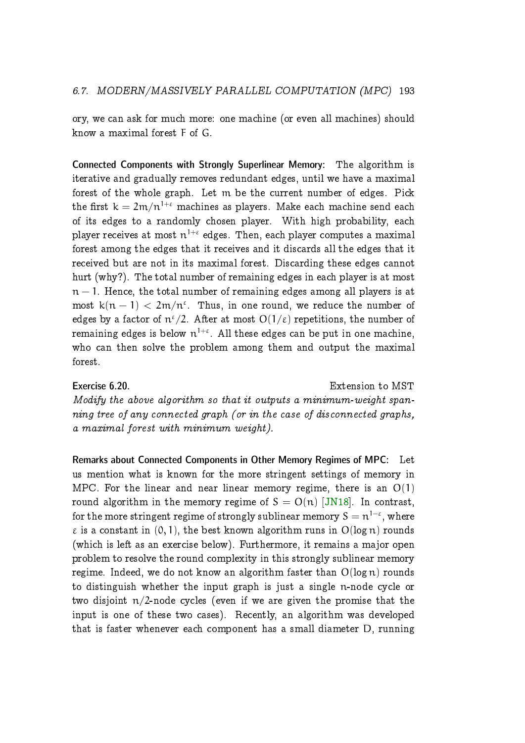ory, we can ask for much more: one machine (or even all machines) should know a maximal forest F of G.

Connected Components with Strongly Superlinear Memory: The algorithm is iterative and gradually removes redundant edges, until we have a maximal forest of the whole graph. Let m be the current number of edges. Pick the first  $k = 2m/n^{1+\epsilon}$  machines as players. Make each machine send each of its edges to a randomly chosen player. With high probability, each player receives at most  $\mathfrak{n}^{1+\varepsilon}$  edges. Then, each player computes a maximal forest among the edges that it receives and it discards all the edges that it received but are not in its maximal forest. Discarding these edges cannot hurt (why?). The total number of remaining edges in each player is at most  $n-1$ . Hence, the total number of remaining edges among all players is at most  $k(n - 1) < 2m/n^{\epsilon}$ . Thus, in one round, we reduce the number of edges by a factor of  $\mathrm{n}^{\varepsilon}/2$ . After at most  $\mathrm{O}(1/\varepsilon)$  repetitions, the number of remaining edges is below  $\mathfrak{n}^{1+\varepsilon}.$  All these edges can be put in one machine, who can then solve the problem among them and output the maximal forest.

Exercise 6.20. Extension to MST Modify the above algorithm so that it outputs a minimum-weight spanning tree of any connected graph (or in the case of disconnected graphs, a maximal forest with minimum weight).

Remarks about Connected Components in Other Memory Regimes of MPC: Let us mention what is known for the more stringent settings of memory in MPC. For the linear and near linear memory regime, there is an  $O(1)$ round algorithm in the memory regime of  $S = O(n)$  [\[JN18\]](#page-57-6). In contrast, for the more stringent regime of strongly sublinear memory  $\texttt{S} = \texttt{n}^{1-\varepsilon},$  where  $\varepsilon$  is a constant in  $(0, 1)$ , the best known algorithm runs in  $O(\log n)$  rounds (which is left as an exercise below). Furthermore, it remains a major open problem to resolve the round complexity in this strongly sublinear memory regime. Indeed, we do not know an algorithm faster than  $O(log n)$  rounds to distinguish whether the input graph is just a single n-node cycle or two disjoint  $n/2$ -node cycles (even if we are given the promise that the input is one of these two cases). Recently, an algorithm was developed that is faster whenever each component has a small diameter D, running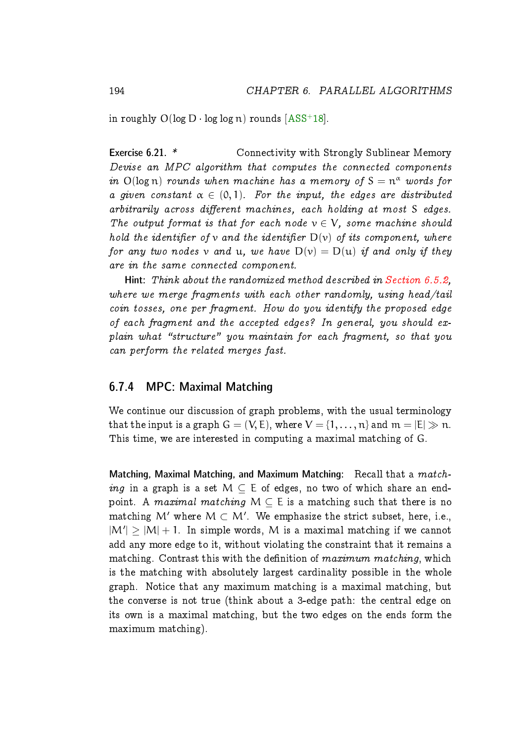in roughly  $O(\log D \cdot \log \log n)$  rounds  $[ASS^+18]$  $[ASS^+18]$ .

Exercise 6.21. \* Connectivity with Strongly Sublinear Memory Devise an MPC algorithm that computes the connected components in  $O(log n)$  rounds when machine has a memory of  $S = n^{\alpha}$  words for a given constant  $\alpha \in (0, 1)$ . For the input, the edges are distributed  $arbitrarily across different machines, each holding at most S edges.$ The output format is that for each node  $v \in V$ , some machine should hold the identifier of v and the identifier  $D(v)$  of its component, where for any two nodes v and u, we have  $D(v) = D(u)$  if and only if they are in the same connected component.

Hint: Think about the randomized method described in [Section 6.5.2,](#page-29-0) where we merge fragments with each other randomly, using head/tail coin tosses, one per fragment. How do you identify the proposed edge of each fragment and the accepted edges? In general, you should ex $plain$  what "structure" you maintain for each fragment, so that you can perform the related merges fast.

#### <span id="page-49-0"></span>6.7.4 MPC: Maximal Matching

We continue our discussion of graph problems, with the usual terminology that the input is a graph  $G = (V, E)$ , where  $V = \{1, ..., n\}$  and  $m = |E| \gg n$ . This time, we are interested in computing a maximal matching of G.

Matching, Maximal Matching, and Maximum Matching: Recall that a matching in a graph is a set  $M \subseteq E$  of edges, no two of which share an endpoint. A maximal matching  $M \subseteq E$  is a matching such that there is no matching  $\mathcal{M}'$  where  $\mathcal{M} \subset \mathcal{M}'$ . We emphasize the strict subset, here, i.e.,  $|M'| \geq |M| + 1$ . In simple words, M is a maximal matching if we cannot add any more edge to it, without violating the constraint that it remains a matching. Contrast this with the definition of  $maximum\ matching$ , which is the matching with absolutely largest cardinality possible in the whole graph. Notice that any maximum matching is a maximal matching, but the converse is not true (think about a 3-edge path: the central edge on its own is a maximal matching, but the two edges on the ends form the maximum matching).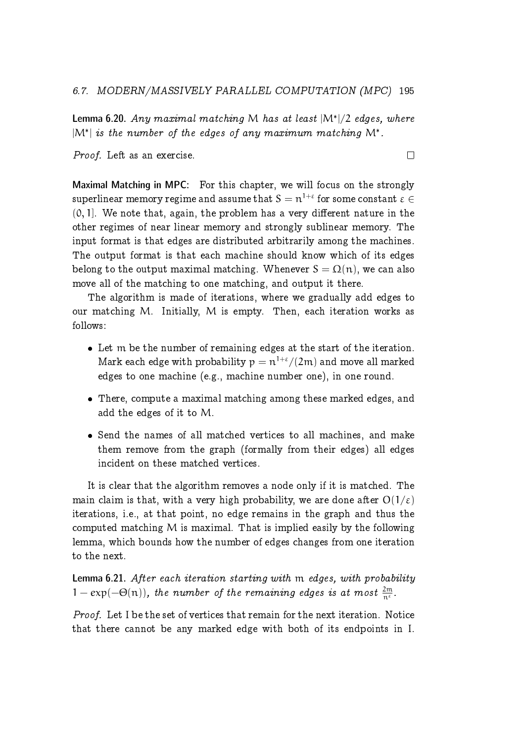**Lemma 6.20.** Any maximal matching M has at least  $|M^*|/2$  edges, where  $|M^*|$  is the number of the edges of any maximum matching  $M^*$ .

Proof. Left as an exercise.

 $\Box$ 

Maximal Matching in MPC: For this chapter, we will focus on the strongly  ${\rm superlinear\ memory\ regime\ and\ assume\ that\ } {\rm S} = {\rm n}^{1+\varepsilon}$  for some constant  $\varepsilon \in$  $(0, 1]$ . We note that, again, the problem has a very different nature in the other regimes of near linear memory and strongly sublinear memory. The input format is that edges are distributed arbitrarily among the machines. The output format is that each machine should know which of its edges belong to the output maximal matching. Whenever  $S = \Omega(n)$ , we can also move all of the matching to one matching, and output it there.

The algorithm is made of iterations, where we gradually add edges to our matching M. Initially, M is empty. Then, each iteration works as follows:

- Let m be the number of remaining edges at the start of the iteration. Mark each edge with probability  $p = n^{1+\epsilon}/(2m)$  and move all marked edges to one machine (e.g., machine number one), in one round.
- There, compute a maximal matching among these marked edges, and add the edges of it to M.
- Send the names of all matched vertices to all machines, and make them remove from the graph (formally from their edges) all edges incident on these matched vertices.

It is clear that the algorithm removes a node only if it is matched. The main claim is that, with a very high probability, we are done after  $O(1/\epsilon)$ iterations, i.e., at that point, no edge remains in the graph and thus the computed matching M is maximal. That is implied easily by the following lemma, which bounds how the number of edges changes from one iteration to the next.

Lemma 6.21. After each iteration starting with m edges, with probability  $1 - \exp(-\Theta(n))$ , the number of the remaining edges is at most  $\frac{2m}{n^{\varepsilon}}$ .

Proof. Let I be the set of vertices that remain for the next iteration. Notice that there cannot be any marked edge with both of its endpoints in I.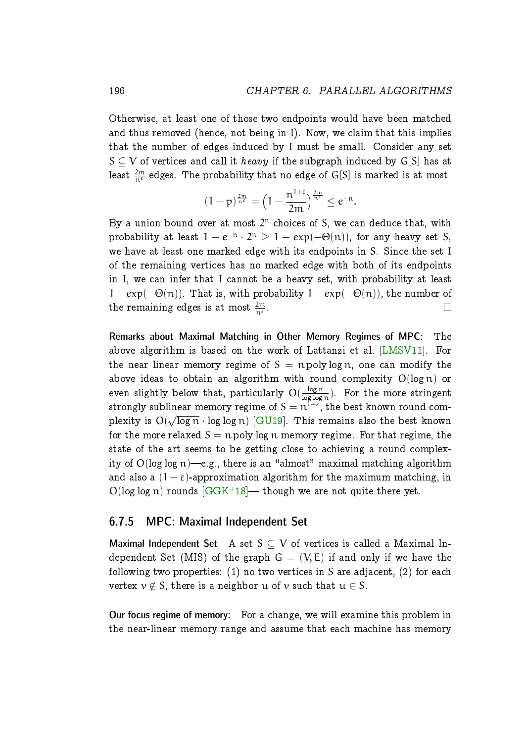Otherwise, at least one of those two endpoints would have been matched and thus removed (hence, not being in I). Now, we claim that this implies that the number of edges induced by I must be small. Consider any set  $S \subset V$  of vertices and call it *heavy* if the subgraph induced by G[S] has at least  $\frac{2m}{n^{\varepsilon}}$  edges. The probability that no edge of G[S] is marked is at most

$$
(1-p)^{\frac{2m}{n^{\epsilon}}}=\left(1-\frac{n^{1+\epsilon}}{2m}\right)^{\frac{2m}{n^{\epsilon}}}\leq e^{-n}.
$$

By a union bound over at most  $2^n$  choices of S, we can deduce that, with probability at least  $1 - e^{-n} \cdot 2^n \ge 1 - \exp(-\Theta(n))$ , for any heavy set S, we have at least one marked edge with its endpoints in S. Since the set I of the remaining vertices has no marked edge with both of its endpoints in I, we can infer that I cannot be a heavy set, with probability at least  $1 - \exp(-\Theta(n))$ . That is, with probability  $1 - \exp(-\Theta(n))$ , the number of the remaining edges is at most  $\frac{2\mathfrak{m}}{\mathfrak{n}^\varepsilon}.$  $\Box$ 

Remarks about Maximal Matching in Other Memory Regimes of MPC: The above algorithm is based on the work of Lattanzi et al. [\[LMSV11\]](#page-57-7). For the near linear memory regime of  $S = n$  poly log n, one can modify the above ideas to obtain an algorithm with round complexity  $O(\log n)$  or even slightly below that, particularly  $\mathrm{O}(\frac{\log n}{\log \log n})$  $\frac{\log n}{\log \log n}$ ). For the more stringent strongly sublinear memory regime of  $\texttt{S} = \texttt{n}^{\textsf{T}-\varepsilon},$  the best known round complexity is  $O(\sqrt{\log n} \cdot \log \log n)$  [\[GU19\]](#page-57-8). This remains also the best known for the more relaxed  $S = n$  poly log n memory regime. For that regime, the state of the art seems to be getting close to achieving a round complexity of  $O(\log \log n)$ —e.g., there is an "almost" maximal matching algorithm and also a  $(1 + \varepsilon)$ -approximation algorithm for the maximum matching, in  $O(\log \log n)$  rounds  $[G G K^+ 18]$ — though we are not quite there yet.

#### <span id="page-51-0"></span>6.7.5 MPC: Maximal Independent Set

Maximal Independent Set A set  $S \subset V$  of vertices is called a Maximal Independent Set (MIS) of the graph  $G = (V, E)$  if and only if we have the following two properties:  $(1)$  no two vertices in S are adjacent,  $(2)$  for each vertex  $v \notin S$ , there is a neighbor u of v such that  $u \in S$ .

Our focus regime of memory: For a change, we will examine this problem in the near-linear memory range and assume that each machine has memory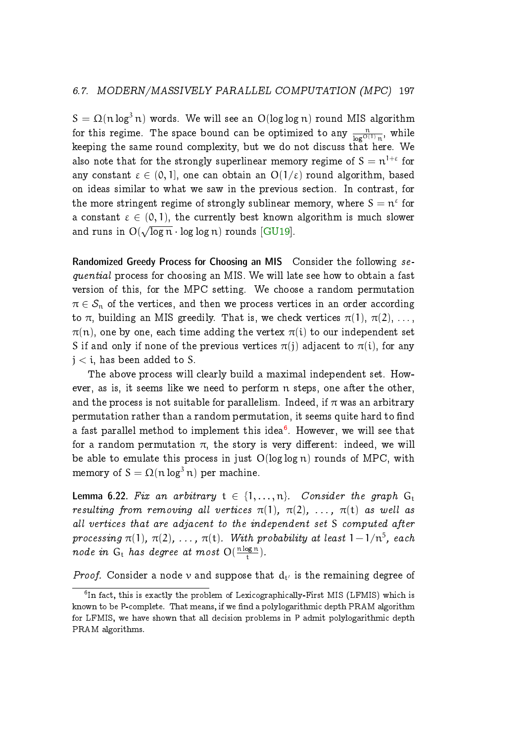$S = \Omega(n \log^3 n)$  words. We will see an  $O(\log \log n)$  round MIS algorithm for this regime. The space bound can be optimized to any  $\frac{n}{\log^{O(1)} n}$ , while keeping the same round complexity, but we do not discuss that here. We also note that for the strongly superlinear memory regime of  $\text{S} = \text{n}^{1+\varepsilon}$  for any constant  $\varepsilon \in (0, 1]$ , one can obtain an  $O(1/\varepsilon)$  round algorithm, based on ideas similar to what we saw in the previous section. In contrast, for the more stringent regime of strongly sublinear memory, where  $S = n^{\epsilon}$  for a constant  $\varepsilon \in (0, 1)$ , the currently best known algorithm is much slower and runs in  $O(\sqrt{\log n} \cdot \log \log n)$  rounds [\[GU19\]](#page-57-8).

Randomized Greedy Process for Choosing an MIS Consider the following sequential process for choosing an MIS. We will late see how to obtain a fast version of this, for the MPC setting. We choose a random permutation  $\pi \in S_n$  of the vertices, and then we process vertices in an order according to  $\pi$ , building an MIS greedily. That is, we check vertices  $\pi(1)$ ,  $\pi(2)$ , ...,  $\pi(n)$ , one by one, each time adding the vertex  $\pi(i)$  to our independent set S if and only if none of the previous vertices  $\pi(j)$  adjacent to  $\pi(i)$ , for any  $j < i$ , has been added to S.

The above process will clearly build a maximal independent set. However, as is, it seems like we need to perform n steps, one after the other, and the process is not suitable for parallelism. Indeed, if  $\pi$  was an arbitrary permutation rather than a random permutation, it seems quite hard to find a fast parallel method to implement this idea $^6$  $^6$ . However, we will see that for a random permutation  $\pi$ , the story is very different: indeed, we will be able to emulate this process in just  $O(log log n)$  rounds of MPC, with memory of  $S = \Omega(n \log^3 n)$  per machine.

<span id="page-52-1"></span>**Lemma 6.22.** Fix an arbitrary  $t \in \{1, ..., n\}$ . Consider the graph  $G_t$ resulting from removing all vertices  $\pi(1)$ ,  $\pi(2)$ , ...,  $\pi(t)$  as well as all vertices that are adjacent to the independent set S computed after processing  $\pi(1)$ ,  $\pi(2)$ , ...,  $\pi(\text{t})$ . With probability at least  $1 - 1/\mathfrak{n}^5$ , each node in  $G_t$  has degree at most  $O(\frac{n \log n}{t})$  $\frac{\log n}{t}$ ).

*Proof.* Consider a node v and suppose that  $d_t$  is the remaining degree of

<span id="page-52-0"></span><sup>&</sup>lt;sup>6</sup>In fact, this is exactly the problem of Lexicographically-First MIS (LFMIS) which is known to be P-complete. That means, if we find a polylogarithmic depth PRAM algorithm for LFMIS, we have shown that all decision problems in P admit polylogarithmic depth PRAM algorithms.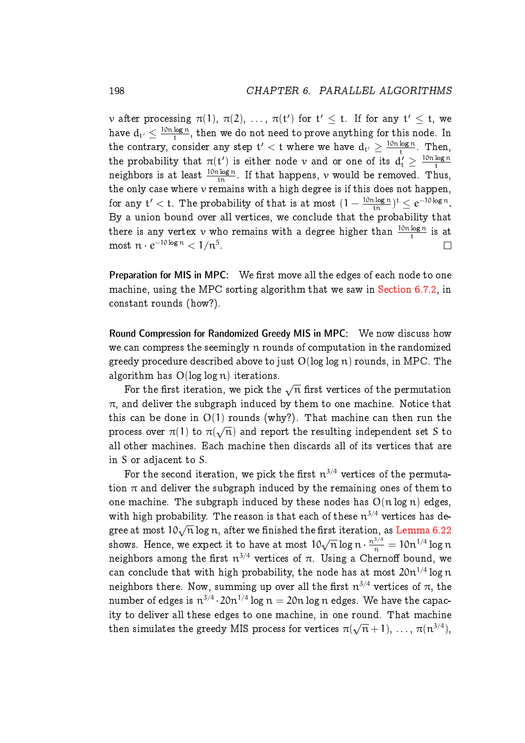$\begin{split} \nu \text{ after processing }\pi(1),\ \pi(2),\ \ldots,\ \pi(\mathsf{t}') \text{ for }\mathsf{t}' \leq \mathsf{t}. \ \text{ If for any $\mathsf{t}' \leq \mathsf{t}$, we} \end{split}$ have  $d_{t'} \leq \frac{10n \log n}{t}$  $\frac{\log n}{\epsilon}$ , then we do not need to prove anything for this node. In the contrary, consider any step  $\mathsf{t}' < \mathsf{t}$  where we have  $\mathsf{d}_{\mathsf{t}'} \geq \frac{10\mathsf{n}\log \mathsf{n}}{\mathsf{t}}$  $\frac{\log n}{t}$ . Then, the probability that  $\pi(t')$  is either node v and or one of its  $d'_t \geq \frac{10n\log n}{t}$ t neighbors is at least  $\frac{10{\mathfrak n}\log n}{\mathfrak t n}.$  If that happens,  $\nu$  would be removed. Thus, the only case where v remains with a high degree is if this does not happen, for any  $t' < t$ . The probability of that is at most  $(1 - \frac{10n \log n}{\ln})^t \le e^{-10 \log n}$ . By a union bound over all vertices, we conclude that the probability that there is any vertex  $v$  who remains with a degree higher than  $\frac{10n\log n}{t}$  is at most  $n \cdot e^{-10 \log n} < 1/n^5$ .  $\Box$ 

Preparation for MIS in MPC: We first move all the edges of each node to one machine, using the MPC sorting algorithm that we saw in [Section 6.7.2,](#page-45-0) in constant rounds (how?).

Round Compression for Randomized Greedy MIS in MPC: We now discuss how we can compress the seemingly n rounds of computation in the randomized greedy procedure described above to just  $O(log log n)$  rounds, in MPC. The algorithm has  $O(log log n)$  iterations.

For the first iteration, we pick the  $\sqrt{n}$  first vertices of the permutation  $\pi$ , and deliver the subgraph induced by them to one machine. Notice that this can be done in  $O(1)$  rounds (why?). That machine can then run the process over  $\pi(1)$  to  $\pi(\sqrt{n})$  and report the resulting independent set S to all other machines. Each machine then discards all of its vertices that are in S or adjacent to S.

For the second iteration, we pick the first  $\mathfrak{n}^{3/4}$  vertices of the permutation  $\pi$  and deliver the subgraph induced by the remaining ones of them to one machine. The subgraph induced by these nodes has  $O(n \log n)$  edges, with high probability. The reason is that each of these  $n^{3/4}$  vertices has degree at most  $10\sqrt{n}\log n$ , after we finished the first iteration, as [Lemma 6.22](#page-52-1) shows. Hence, we expect it to have at most  $10\sqrt{n} \log n \cdot \frac{n^{3/4}}{n} = 10n^{1/4} \log n$ neighbors among the first  $\mathfrak n^{3/4}$  vertices of  $\pi.$  Using a Chernoff bound, we can conclude that with high probability, the node has at most  $20n^{1/4}$  log n neighbors there. Now, summing up over all the first  $\mathfrak{n}^{3/4}$  vertices of  $\pi,$  the number of edges is  $n^{3/4} \cdot 20n^{1/4} \log n = 20n \log n$  edges. We have the capacity to deliver all these edges to one machine, in one round. That machine then simulates the greedy MIS process for vertices  $\pi(\sqrt{n}+1),\,\ldots,\,\pi(n^{3/4}),$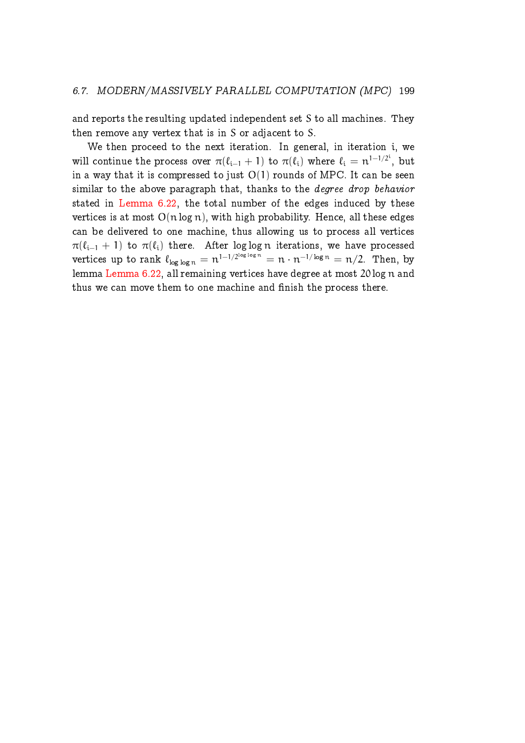and reports the resulting updated independent set S to all machines. They then remove any vertex that is in S or adjacent to S.

We then proceed to the next iteration. In general, in iteration i, we will continue the process over  $\pi(\ell_{i-1} + 1)$  to  $\pi(\ell_i)$  where  $\ell_i = n^{1-1/2^i}$ , but in a way that it is compressed to just  $O(1)$  rounds of MPC. It can be seen similar to the above paragraph that, thanks to the *degree drop behavior* stated in [Lemma 6.22,](#page-52-1) the total number of the edges induced by these vertices is at most  $O(n \log n)$ , with high probability. Hence, all these edges can be delivered to one machine, thus allowing us to process all vertices  $\pi(\ell_{i-1} + 1)$  to  $\pi(\ell_i)$  there. After log log n iterations, we have processed vertices up to rank  $\ell_{\log \log n} = n^{1-1/2^{\log \log n}} = n \cdot n^{-1/\log n} = n/2$ . Then, by lemma [Lemma 6.22,](#page-52-1) all remaining vertices have degree at most 20 log n and thus we can move them to one machine and finish the process there.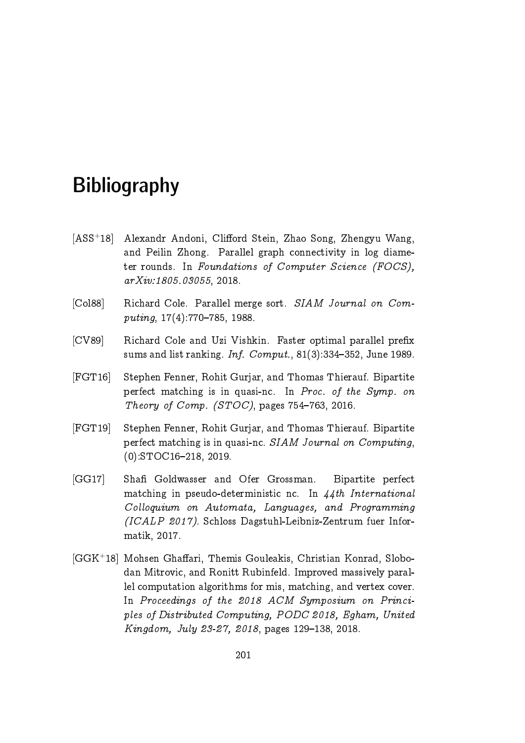# **Bibliography**

- <span id="page-56-5"></span>[ASS<sup>+</sup>18] Alexandr Andoni, Clifford Stein, Zhao Song, Zhengyu Wang, and Peilin Zhong. Parallel graph connectivity in log diameter rounds. In Foundations of Computer Science (FOCS), arXiv:1805.03055, 2018.
- <span id="page-56-1"></span>[Col88] Richard Cole. Parallel merge sort. SIAM Journal on Computing,  $17(4)$ :770-785, 1988.
- <span id="page-56-0"></span>[CV89] Richard Cole and Uzi Vishkin. Faster optimal parallel prefix sums and list ranking. Inf.  $Comput.$ , 81(3):334-352, June 1989.
- <span id="page-56-2"></span>[FGT16] Stephen Fenner, Rohit Gurjar, and Thomas Thierauf. Bipartite perfect matching is in quasi-nc. In Proc. of the Symp. on Theory of Comp. (STOC), pages  $754-763$ , 2016.
- <span id="page-56-3"></span>[FGT19] Stephen Fenner, Rohit Gurjar, and Thomas Thierauf. Bipartite perfect matching is in quasi-nc. SIAM Journal on Computing,  $(0):$ STOC16-218, 2019.
- <span id="page-56-4"></span>[GG17] Sha Goldwasser and Ofer Grossman. Bipartite perfect matching in pseudo-deterministic nc. In  $44th$  International Colloquium on Automata, Languages, and Programming (ICALP 2017). Schloss Dagstuhl-Leibniz-Zentrum fuer Informatik, 2017.
- <span id="page-56-6"></span>[GGK+18] Mohsen Ghaffari, Themis Gouleakis, Christian Konrad, Slobodan Mitrovic, and Ronitt Rubinfeld. Improved massively parallel computation algorithms for mis, matching, and vertex cover. In Proceedings of the 2018 ACM Symposium on Principles of Distributed Computing, PODC 2018, Egham, United Kingdom, July 23-27, 2018, pages 129-138, 2018.